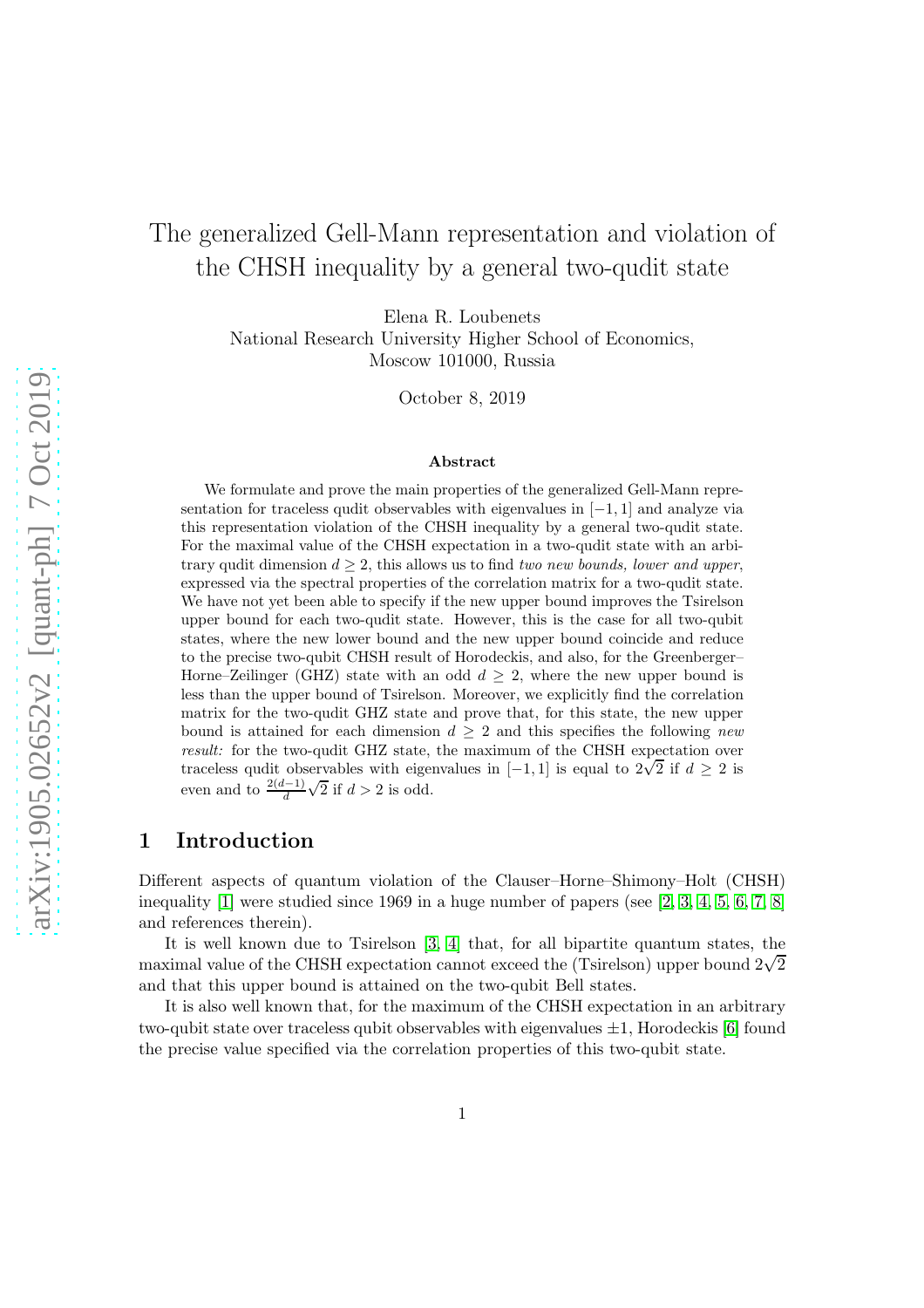# The generalized Gell-Mann representation and violation of the CHSH inequality by a general two-qudit state

Elena R. Loubenets

National Research University Higher School of Economics, Moscow 101000, Russia

October 8, 2019

#### Abstract

We formulate and prove the main properties of the generalized Gell-Mann representation for traceless qudit observables with eigenvalues in  $[-1, 1]$  and analyze via this representation violation of the CHSH inequality by a general two-qudit state. For the maximal value of the CHSH expectation in a two-qudit state with an arbitrary qudit dimension  $d \geq 2$ , this allows us to find two new bounds, lower and upper, expressed via the spectral properties of the correlation matrix for a two-qudit state. We have not yet been able to specify if the new upper bound improves the Tsirelson upper bound for each two-qudit state. However, this is the case for all two-qubit states, where the new lower bound and the new upper bound coincide and reduce to the precise two-qubit CHSH result of Horodeckis, and also, for the Greenberger– Horne–Zeilinger (GHZ) state with an odd  $d \geq 2$ , where the new upper bound is less than the upper bound of Tsirelson. Moreover, we explicitly find the correlation matrix for the two-qudit GHZ state and prove that, for this state, the new upper bound is attained for each dimension  $d > 2$  and this specifies the following new result: for the two-qudit GHZ state, the maximum of the CHSH expectation over traceless qudit observables with eigenvalues in  $[-1, 1]$  is equal to  $2\sqrt{2}$  if  $d \ge 2$  is even and to  $\frac{2(d-1)}{d}\sqrt{2}$  if  $d > 2$  is odd.

#### 1 Introduction

Different aspects of quantum violation of the Clauser–Horne–Shimony–Holt (CHSH) inequality [\[1\]](#page-16-0) were studied since 1969 in a huge number of papers (see [\[2,](#page-16-1) [3,](#page-16-2) [4,](#page-17-0) [5,](#page-17-1) [6,](#page-17-2) [7,](#page-17-3) [8\]](#page-17-4) and references therein).

It is well known due to Tsirelson [\[3,](#page-16-2) [4\]](#page-17-0) that, for all bipartite quantum states, the maximal value of the CHSH expectation cannot exceed the (Tsirelson) upper bound  $2\sqrt{2}$ and that this upper bound is attained on the two-qubit Bell states.

It is also well known that, for the maximum of the CHSH expectation in an arbitrary two-qubit state over traceless qubit observables with eigenvalues  $\pm 1$ , Horodeckis [\[6\]](#page-17-2) found the precise value specified via the correlation properties of this two-qubit state.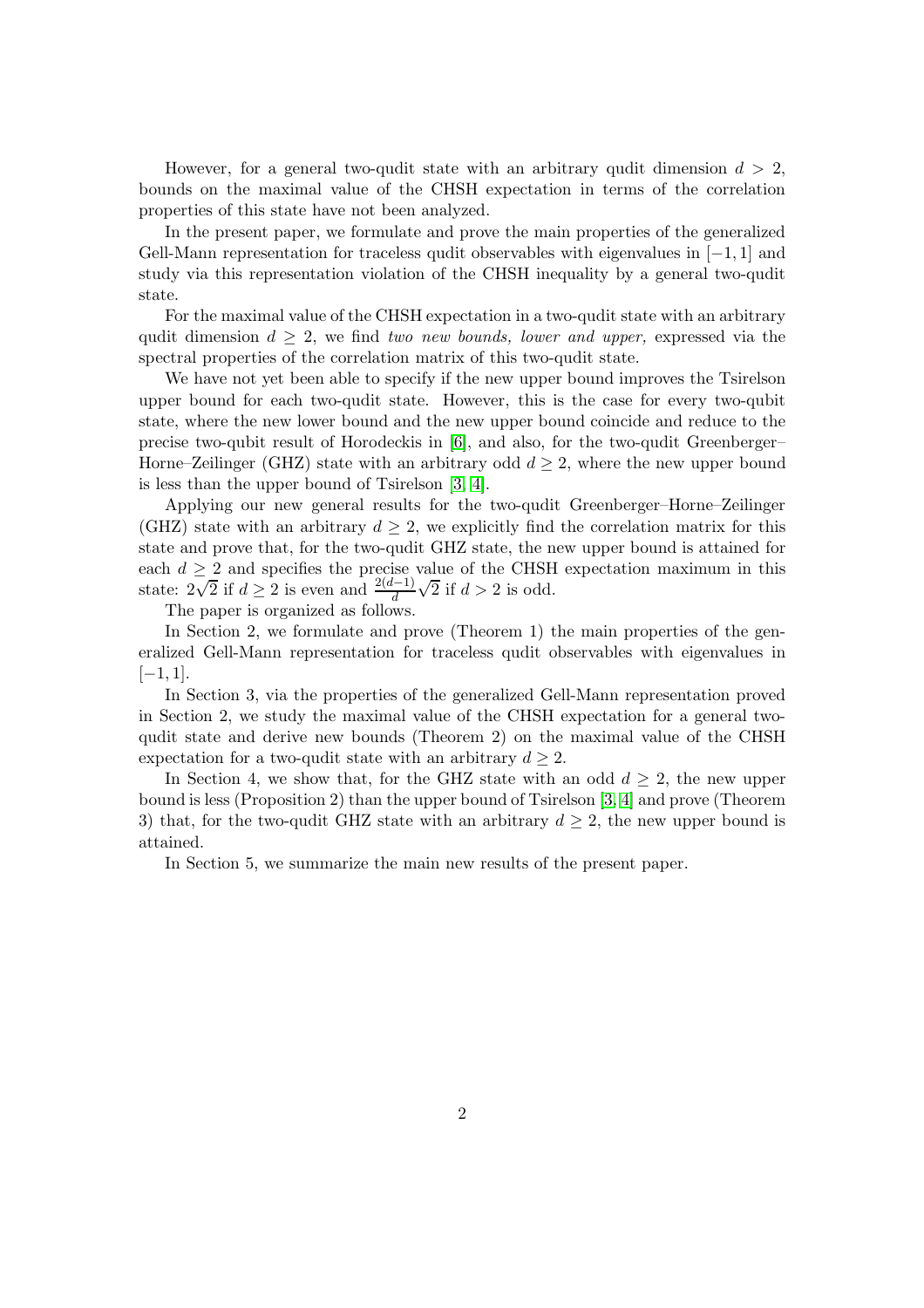However, for a general two-qudit state with an arbitrary qudit dimension  $d > 2$ , bounds on the maximal value of the CHSH expectation in terms of the correlation properties of this state have not been analyzed.

In the present paper, we formulate and prove the main properties of the generalized Gell-Mann representation for traceless qudit observables with eigenvalues in [−1, 1] and study via this representation violation of the CHSH inequality by a general two-qudit state.

For the maximal value of the CHSH expectation in a two-qudit state with an arbitrary qudit dimension  $d \geq 2$ , we find two new bounds, lower and upper, expressed via the spectral properties of the correlation matrix of this two-qudit state.

We have not yet been able to specify if the new upper bound improves the Tsirelson upper bound for each two-qudit state. However, this is the case for every two-qubit state, where the new lower bound and the new upper bound coincide and reduce to the precise two-qubit result of Horodeckis in [\[6\]](#page-17-2), and also, for the two-qudit Greenberger– Horne–Zeilinger (GHZ) state with an arbitrary odd  $d \geq 2$ , where the new upper bound is less than the upper bound of Tsirelson [\[3,](#page-16-2) [4\]](#page-17-0).

Applying our new general results for the two-qudit Greenberger–Horne–Zeilinger (GHZ) state with an arbitrary  $d \geq 2$ , we explicitly find the correlation matrix for this state and prove that, for the two-qudit GHZ state, the new upper bound is attained for each  $d \geq 2$  and specifies the precise value of the CHSH expectation maximum in this state:  $2\sqrt{2}$  if  $d \ge 2$  is even and  $\frac{2(d-1)}{d}$  $\sqrt{2}$  if  $d > 2$  is odd.

The paper is organized as follows.

In Section 2, we formulate and prove (Theorem 1) the main properties of the generalized Gell-Mann representation for traceless qudit observables with eigenvalues in  $[-1, 1]$ .

In Section 3, via the properties of the generalized Gell-Mann representation proved in Section 2, we study the maximal value of the CHSH expectation for a general twoqudit state and derive new bounds (Theorem 2) on the maximal value of the CHSH expectation for a two-qudit state with an arbitrary  $d \geq 2$ .

In Section 4, we show that, for the GHZ state with an odd  $d > 2$ , the new upper bound is less (Proposition 2) than the upper bound of Tsirelson [\[3,](#page-16-2) [4\]](#page-17-0) and prove (Theorem 3) that, for the two-qudit GHZ state with an arbitrary  $d \geq 2$ , the new upper bound is attained.

In Section 5, we summarize the main new results of the present paper.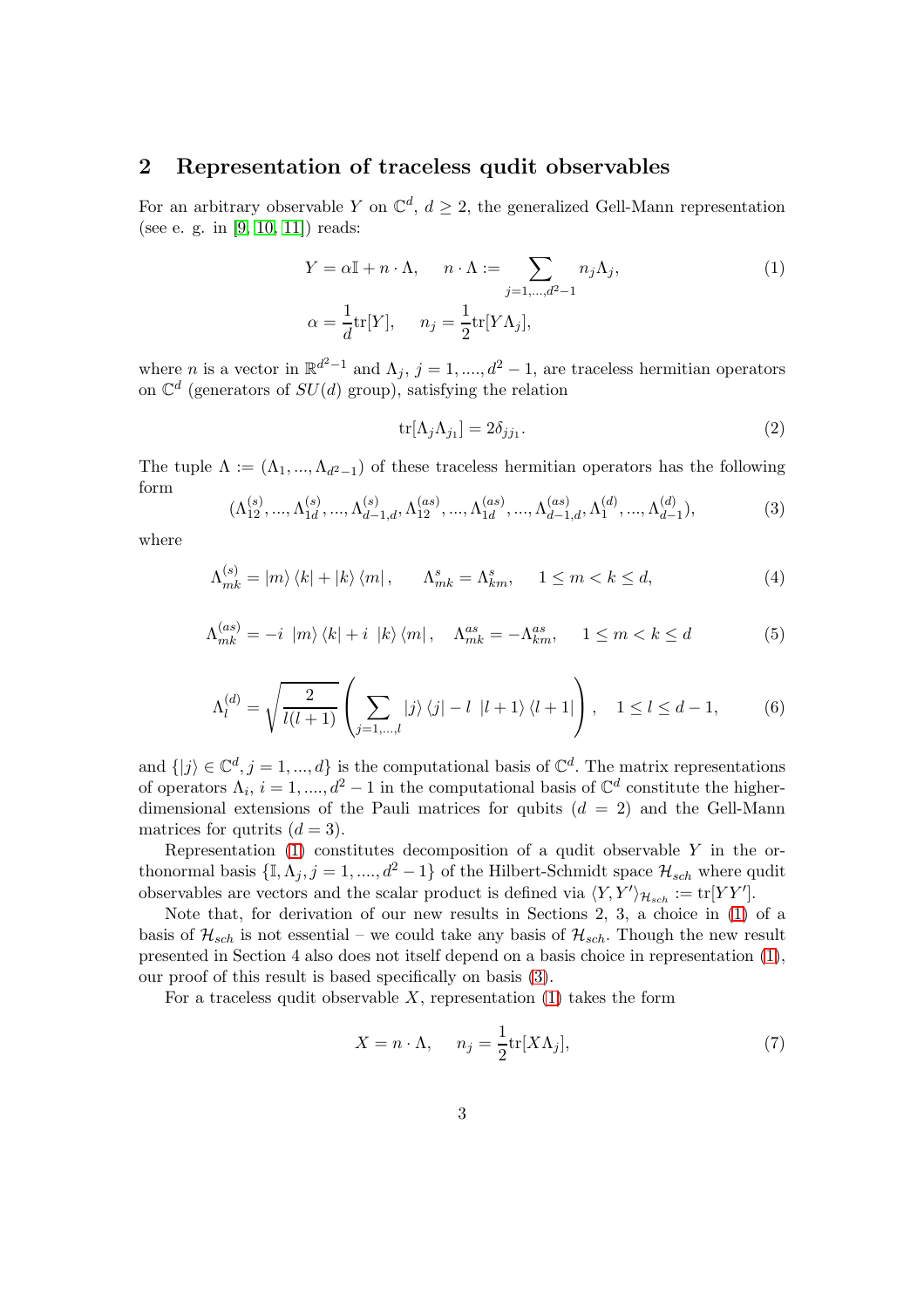#### 2 Representation of traceless qudit observables

For an arbitrary observable Y on  $\mathbb{C}^d$ ,  $d \geq 2$ , the generalized Gell-Mann representation (see e. g. in [\[9,](#page-17-5) [10,](#page-17-6) [11\]](#page-17-7)) reads:

$$
Y = \alpha \mathbb{I} + n \cdot \Lambda, \quad n \cdot \Lambda := \sum_{j=1,\dots,d^2-1} n_j \Lambda_j,
$$
  
\n
$$
\alpha = \frac{1}{d} \text{tr}[Y], \quad n_j = \frac{1}{2} \text{tr}[Y \Lambda_j],
$$
\n(1)

where *n* is a vector in  $\mathbb{R}^{d^2-1}$  and  $\Lambda_j$ ,  $j = 1, ..., d^2 - 1$ , are traceless hermitian operators on  $\mathbb{C}^d$  (generators of  $SU(d)$  group), satisfying the relation

<span id="page-2-6"></span><span id="page-2-5"></span><span id="page-2-4"></span><span id="page-2-3"></span><span id="page-2-0"></span>
$$
\text{tr}[\Lambda_j \Lambda_{j_1}] = 2\delta_{jj_1}.\tag{2}
$$

The tuple  $\Lambda := (\Lambda_1, ..., \Lambda_{d^2-1})$  of these traceless hermitian operators has the following form

<span id="page-2-1"></span>
$$
(\Lambda_{12}^{(s)}, ..., \Lambda_{1d}^{(s)}, ..., \Lambda_{d-1,d}^{(s)}, \Lambda_{12}^{(as)}, ..., \Lambda_{1d}^{(as)}, ..., \Lambda_{d-1,d}^{(as)}, \Lambda_1^{(d)}, ..., \Lambda_{d-1}^{(d)}),
$$
\n(3)

where

$$
\Lambda_{mk}^{(s)} = |m\rangle\langle k| + |k\rangle\langle m| \,, \qquad \Lambda_{mk}^{s} = \Lambda_{km}^{s}, \qquad 1 \le m < k \le d,\tag{4}
$$

$$
\Lambda_{mk}^{(as)} = -i |m\rangle \langle k| + i |k\rangle \langle m|, \quad \Lambda_{mk}^{as} = -\Lambda_{km}^{as}, \quad 1 \le m < k \le d \tag{5}
$$

$$
\Lambda_l^{(d)} = \sqrt{\frac{2}{l(l+1)}} \left( \sum_{j=1,\dots,l} |j\rangle \langle j| - l \ |l+1\rangle \langle l+1| \right), \quad 1 \le l \le d-1,\tag{6}
$$

and  $\{|j\rangle \in \mathbb{C}^d, j = 1, ..., d\}$  is the computational basis of  $\mathbb{C}^d$ . The matrix representations of operators  $\Lambda_i$ ,  $i = 1, ..., d^2 - 1$  in the computational basis of  $\mathbb{C}^d$  constitute the higherdimensional extensions of the Pauli matrices for qubits  $(d = 2)$  and the Gell-Mann matrices for qutrits  $(d = 3)$ .

Representation  $(1)$  constitutes decomposition of a qudit observable Y in the orthonormal basis  $\{\mathbb{I}, \Lambda_j, j = 1, \ldots, d^2 - 1\}$  of the Hilbert-Schmidt space  $\mathcal{H}_{sch}$  where qudit observables are vectors and the scalar product is defined via  $\langle Y, Y' \rangle_{\mathcal{H}_{sch}} := \text{tr}[YY']$ .

Note that, for derivation of our new results in Sections 2, 3, a choice in [\(1\)](#page-2-0) of a basis of  $\mathcal{H}_{sch}$  is not essential – we could take any basis of  $\mathcal{H}_{sch}$ . Though the new result presented in Section 4 also does not itself depend on a basis choice in representation [\(1\)](#page-2-0), our proof of this result is based specifically on basis [\(3\)](#page-2-1).

For a traceless qudit observable  $X$ , representation [\(1\)](#page-2-0) takes the form

<span id="page-2-2"></span>
$$
X = n \cdot \Lambda, \quad n_j = \frac{1}{2} \text{tr}[X \Lambda_j], \tag{7}
$$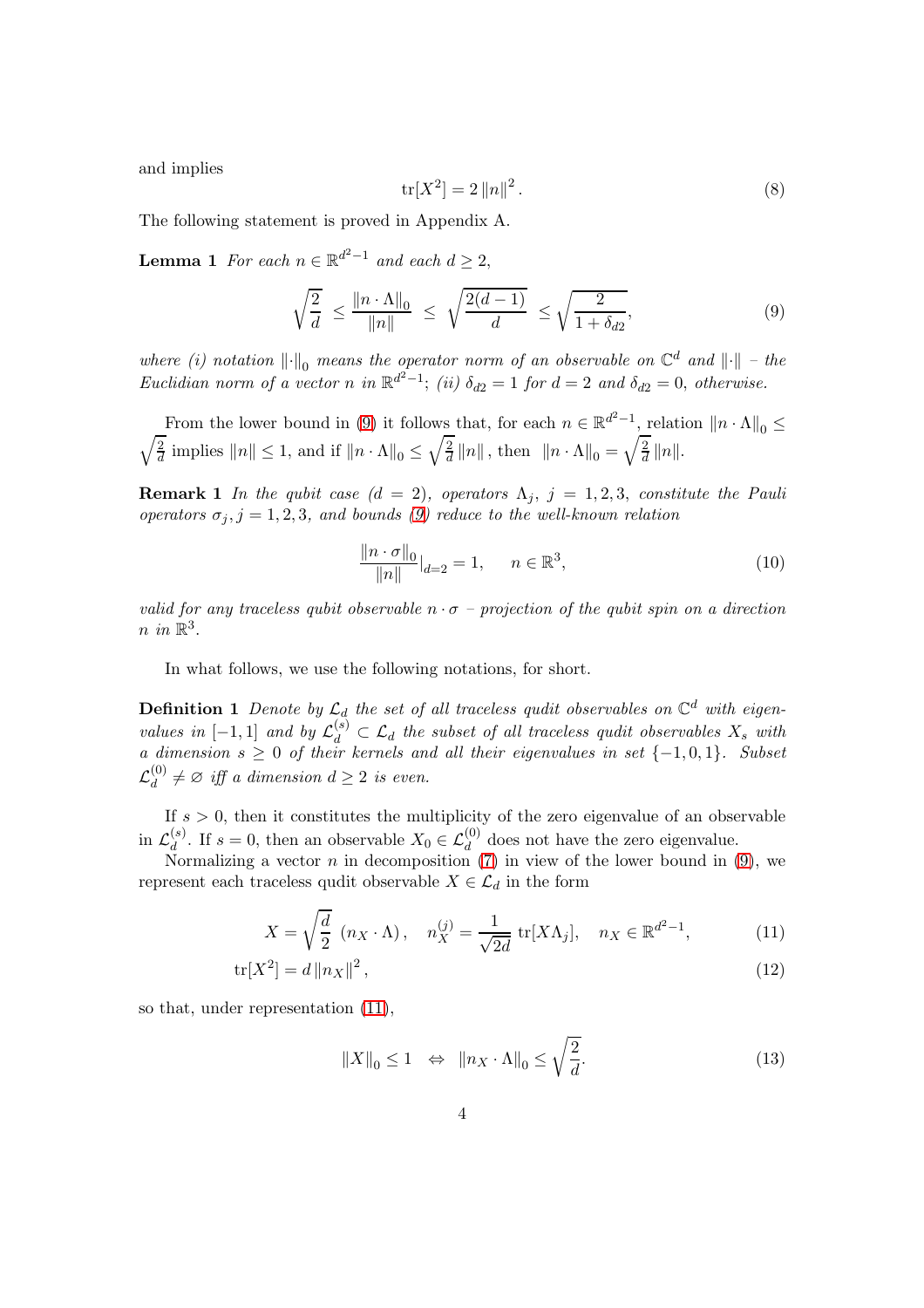and implies

<span id="page-3-3"></span>
$$
\text{tr}[X^2] = 2 \|n\|^2. \tag{8}
$$

The following statement is proved in Appendix A.

**Lemma 1** For each  $n \in \mathbb{R}^{d^2-1}$  and each  $d \ge 2$ ,

<span id="page-3-0"></span>
$$
\sqrt{\frac{2}{d}} \le \frac{\|n \cdot \Lambda\|_0}{\|n\|} \le \sqrt{\frac{2(d-1)}{d}} \le \sqrt{\frac{2}{1+\delta_{d2}}},\tag{9}
$$

where (i) notation  $\|\cdot\|_0$  means the operator norm of an observable on  $\mathbb{C}^d$  and  $\|\cdot\|$  – the Euclidian norm of a vector n in  $\mathbb{R}^{d^2-1}$ ; (ii)  $\delta_{d2}=1$  for  $d=2$  and  $\delta_{d2}=0$ , otherwise.

From the lower bound in [\(9\)](#page-3-0) it follows that, for each  $n \in \mathbb{R}^{d^2-1}$ , relation  $||n \cdot \Lambda||_0 \le$  $\sqrt{2}$  $\frac{2}{d}$  implies  $||n|| \leq 1$ , and if  $||n \cdot \Lambda||_0 \leq \sqrt{\frac{2}{d}}$  $\frac{2}{d} ||n||$ , then  $||n \cdot \Lambda||_0 = \sqrt{\frac{2}{d}}$  $\frac{2}{d}$  ||n||.

**Remark 1** In the qubit case  $(d = 2)$ , operators  $\Lambda_j$ ,  $j = 1, 2, 3$ , constitute the Pauli operators  $\sigma_j$ ,  $j = 1, 2, 3$ , and bounds [\(9\)](#page-3-0) reduce to the well-known relation

$$
\frac{\|n \cdot \sigma\|_0}{\|n\|}\Big|_{d=2} = 1, \quad n \in \mathbb{R}^3,
$$
\n(10)

valid for any traceless qubit observable  $n \cdot \sigma$  – projection of the qubit spin on a direction  $n \in \mathbb{R}^3$ .

In what follows, we use the following notations, for short.

**Definition 1** Denote by  $\mathcal{L}_d$  the set of all traceless qudit observables on  $\mathbb{C}^d$  with eigenvalues in  $[-1,1]$  and by  $\mathcal{L}_d^{(s)} \subset \mathcal{L}_d$  the subset of all traceless qudit observables  $X_s$  with a dimension  $s \geq 0$  of their kernels and all their eigenvalues in set  $\{-1,0,1\}$ . Subset  $\mathcal{L}_d^{(0)}$  $d_d^{(0)} \neq \emptyset$  iff a dimension  $d \geq 2$  is even.

If  $s > 0$ , then it constitutes the multiplicity of the zero eigenvalue of an observable in  $\mathcal{L}_d^{(s)}$ <sup>(s)</sup>. If  $s = 0$ , then an observable  $X_0 \in \mathcal{L}_d^{(0)}$  does not have the zero eigenvalue.

Normalizing a vector *n* in decomposition  $(7)$  in view of the lower bound in  $(9)$ , we represent each traceless qudit observable  $X \in \mathcal{L}_d$  in the form

$$
X = \sqrt{\frac{d}{2}} (n_X \cdot \Lambda), \quad n_X^{(j)} = \frac{1}{\sqrt{2d}} \operatorname{tr}[X\Lambda_j], \quad n_X \in \mathbb{R}^{d^2 - 1}, \tag{11}
$$

$$
\text{tr}[X^2] = d \|n_X\|^2 \,,\tag{12}
$$

so that, under representation [\(11\)](#page-3-1),

<span id="page-3-2"></span><span id="page-3-1"></span>
$$
||X||_0 \le 1 \quad \Leftrightarrow \quad ||n_X \cdot \Lambda||_0 \le \sqrt{\frac{2}{d}}.\tag{13}
$$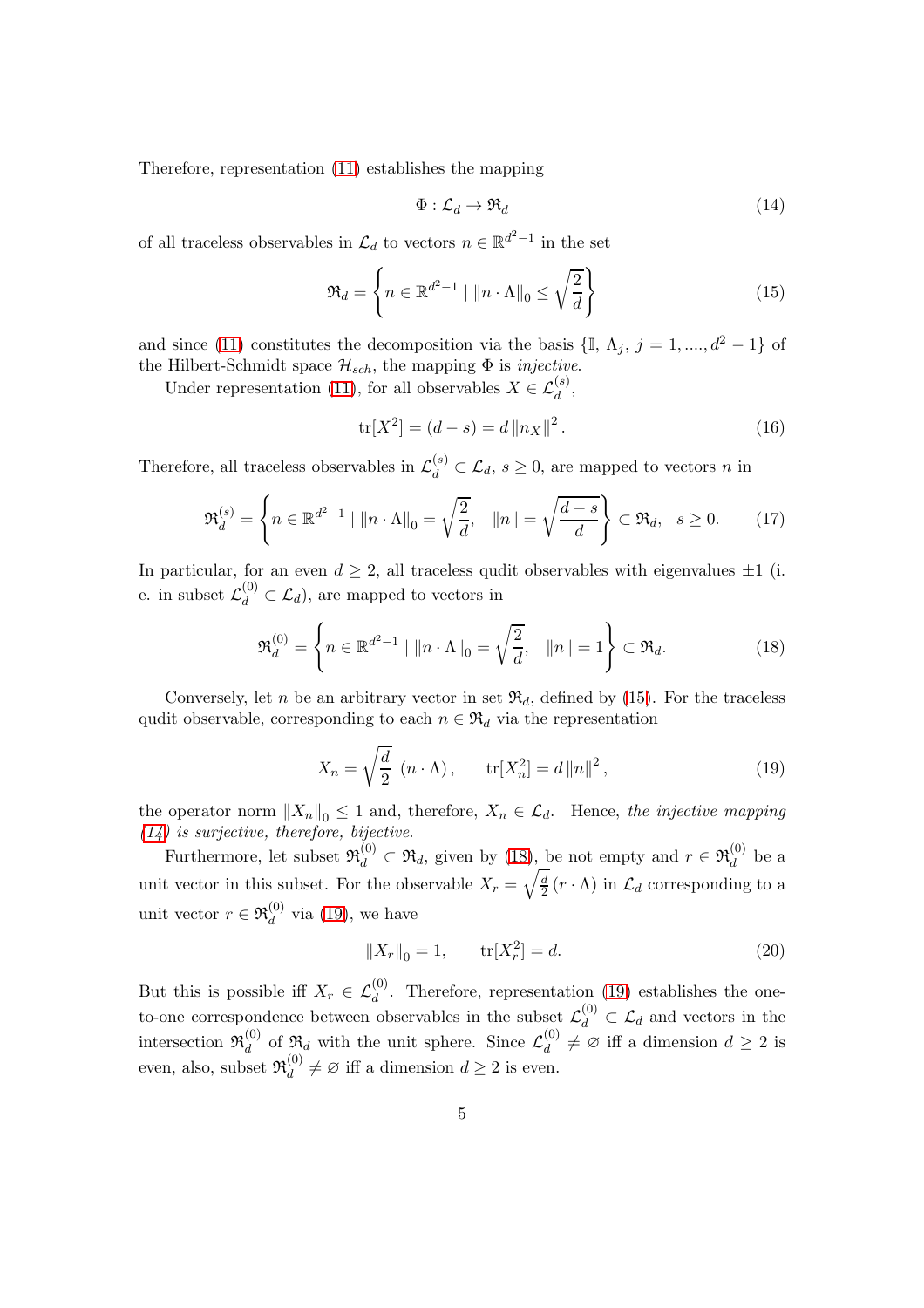Therefore, representation [\(11\)](#page-3-1) establishes the mapping

<span id="page-4-1"></span>
$$
\Phi: \mathcal{L}_d \to \mathfrak{R}_d \tag{14}
$$

of all traceless observables in  $\mathcal{L}_d$  to vectors  $n \in \mathbb{R}^{d^2-1}$  in the set

<span id="page-4-0"></span>
$$
\mathfrak{R}_d = \left\{ n \in \mathbb{R}^{d^2 - 1} \mid \|n \cdot \Lambda\|_0 \le \sqrt{\frac{2}{d}} \right\} \tag{15}
$$

and since [\(11\)](#page-3-1) constitutes the decomposition via the basis  $\{\mathbb{I}, \Lambda_j, j = 1, ..., d^2 - 1\}$  of the Hilbert-Schmidt space  $\mathcal{H}_{sch}$ , the mapping  $\Phi$  is *injective*.

Under representation [\(11\)](#page-3-1), for all observables  $X \in \mathcal{L}_d^{(s)}$ ,

$$
\text{tr}[X^2] = (d - s) = d \|n_X\|^2. \tag{16}
$$

Therefore, all traceless observables in  $\mathcal{L}_d^{(s)} \subset \mathcal{L}_d$ ,  $s \geq 0$ , are mapped to vectors n in

<span id="page-4-4"></span>
$$
\mathfrak{R}_d^{(s)} = \left\{ n \in \mathbb{R}^{d^2 - 1} \mid \|n \cdot \Lambda\|_0 = \sqrt{\frac{2}{d}}, \quad \|n\| = \sqrt{\frac{d - s}{d}} \right\} \subset \mathfrak{R}_d, \quad s \ge 0. \tag{17}
$$

In particular, for an even  $d \geq 2$ , all traceless qudit observables with eigenvalues  $\pm 1$  (i. e. in subset  $\mathcal{L}_d^{(0)} \subset \mathcal{L}_d$ , are mapped to vectors in

<span id="page-4-2"></span>
$$
\mathfrak{R}_d^{(0)} = \left\{ n \in \mathbb{R}^{d^2 - 1} \mid \|n \cdot \Lambda\|_0 = \sqrt{\frac{2}{d}}, \quad \|n\| = 1 \right\} \subset \mathfrak{R}_d.
$$
 (18)

Conversely, let n be an arbitrary vector in set  $\mathfrak{R}_d$ , defined by [\(15\)](#page-4-0). For the traceless qudit observable, corresponding to each  $n \in \mathfrak{R}_d$  via the representation

<span id="page-4-3"></span>
$$
X_n = \sqrt{\frac{d}{2}} \, (n \cdot \Lambda) \,, \qquad \text{tr}[X_n^2] = d \, ||n||^2 \,, \tag{19}
$$

the operator norm  $||X_n||_0 \leq 1$  and, therefore,  $X_n \in \mathcal{L}_d$ . Hence, the injective mapping  $(14)$  is surjective, therefore, bijective.

Furthermore, let subset  $\mathfrak{R}_d^{(0)} \subset \mathfrak{R}_d$ , given by [\(18\)](#page-4-2), be not empty and  $r \in \mathfrak{R}_d^{(0)}$  $\frac{d^{(0)}}{d}$  be a unit vector in this subset. For the observable  $X_r = \sqrt{\frac{d}{2}}$  $\frac{d}{2}(r \cdot \Lambda)$  in  $\mathcal{L}_d$  corresponding to a unit vector  $r \in \mathfrak{R}_d^{(0)}$  $\mathcal{L}_d^{(0)}$  via [\(19\)](#page-4-3), we have

$$
||X_r||_0 = 1, \qquad \text{tr}[X_r^2] = d. \tag{20}
$$

But this is possible iff  $X_r \in \mathcal{L}_d^{(0)}$ . Therefore, representation [\(19\)](#page-4-3) establishes the oneto-one correspondence between observables in the subset  $\mathcal{L}_d^{(0)} \subset \mathcal{L}_d$  and vectors in the intersection  $\mathfrak{R}^{(0)}_d$  $\mathcal{L}_d^{(0)}$  of  $\mathfrak{R}_d$  with the unit sphere. Since  $\mathcal{L}_d^{(0)}$  $\begin{bmatrix} 0 \\ d \end{bmatrix} \neq \emptyset$  iff a dimension  $d \geq 2$  is even, also, subset  $\mathfrak{R}_d^{(0)}$  $\begin{bmatrix} 0 \\ d \end{bmatrix} \neq \emptyset$  iff a dimension  $d \geq 2$  is even.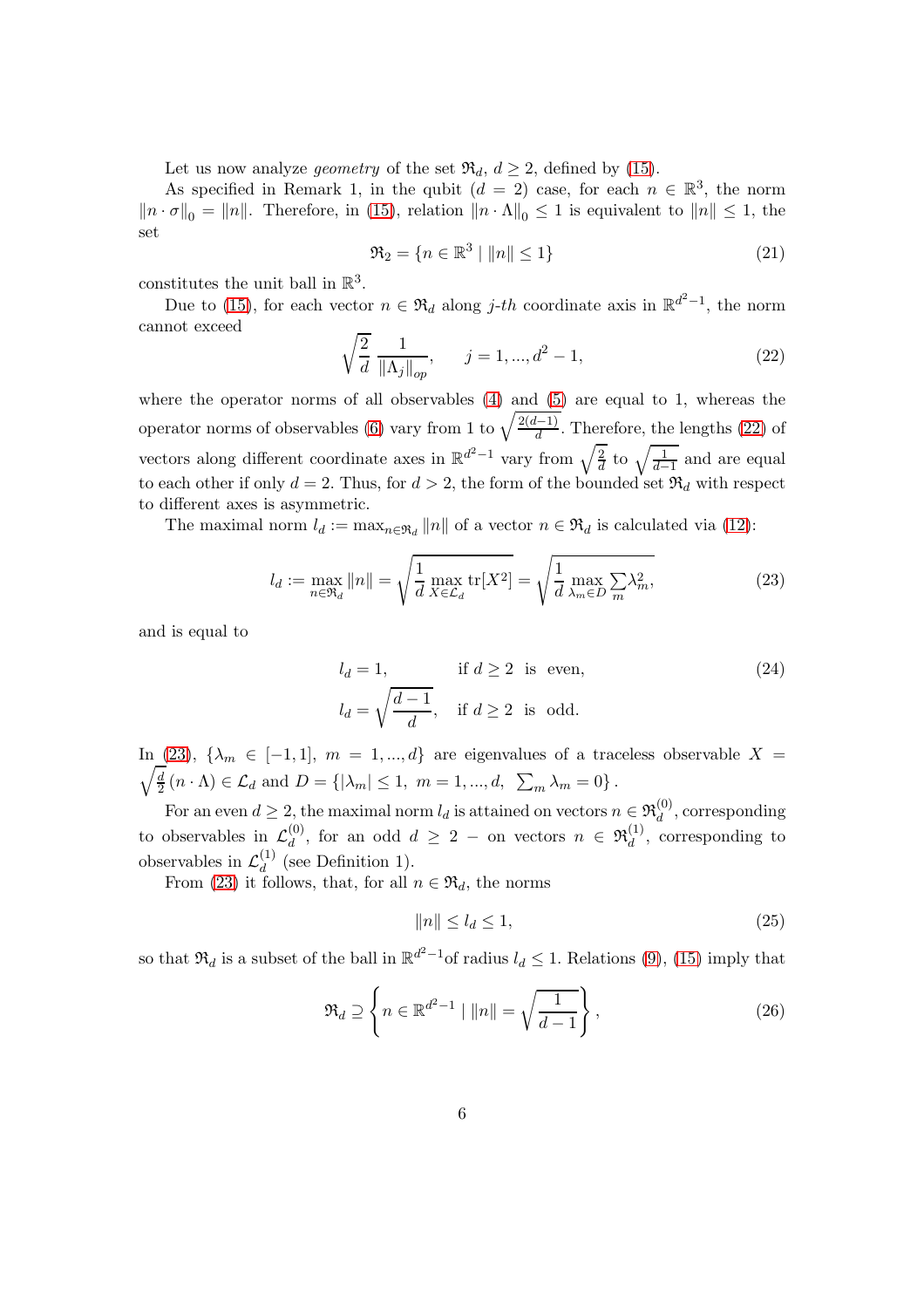Let us now analyze *geometry* of the set  $\mathfrak{R}_d$ ,  $d \geq 2$ , defined by [\(15\)](#page-4-0).

As specified in Remark 1, in the qubit  $(d = 2)$  case, for each  $n \in \mathbb{R}^3$ , the norm  $||n \cdot \sigma||_0 = ||n||$ . Therefore, in [\(15\)](#page-4-0), relation  $||n \cdot \Lambda||_0 \leq 1$  is equivalent to  $||n|| \leq 1$ , the set

<span id="page-5-2"></span>
$$
\Re_2 = \{ n \in \mathbb{R}^3 \mid ||n|| \le 1 \} \tag{21}
$$

constitutes the unit ball in  $\mathbb{R}^3$ .

Due to [\(15\)](#page-4-0), for each vector  $n \in \mathfrak{R}_d$  along *j*-th coordinate axis in  $\mathbb{R}^{d^2-1}$ , the norm cannot exceed

<span id="page-5-0"></span>
$$
\sqrt{\frac{2}{d}} \frac{1}{\|\Lambda_j\|_{op}}, \qquad j = 1, ..., d^2 - 1,
$$
\n(22)

where the operator norms of all observables [\(4\)](#page-2-3) and [\(5\)](#page-2-4) are equal to 1, whereas the operator norms of observables [\(6\)](#page-2-5) vary from 1 to  $\sqrt{\frac{2(d-1)}{d}}$ . Therefore, the lengths [\(22\)](#page-5-0) of vectors along different coordinate axes in  $\mathbb{R}^{d^2-1}$  vary from  $\sqrt{\frac{2}{d}}$  $\frac{2}{d}$  to  $\sqrt{\frac{1}{d-1}}$  and are equal to each other if only  $d = 2$ . Thus, for  $d > 2$ , the form of the bounded set  $\mathfrak{R}_d$  with respect to different axes is asymmetric.

The maximal norm  $l_d := \max_{n \in \mathfrak{R}_d} ||n||$  of a vector  $n \in \mathfrak{R}_d$  is calculated via [\(12\)](#page-3-2):

<span id="page-5-1"></span>
$$
l_d := \max_{n \in \mathfrak{R}_d} ||n|| = \sqrt{\frac{1}{d} \max_{X \in \mathcal{L}_d} \text{tr}[X^2]} = \sqrt{\frac{1}{d} \max_{\lambda_m \in D} \sum_m \lambda_m^2},
$$
(23)

and is equal to

$$
l_d = 1,
$$
 if  $d \ge 2$  is even,  
\n
$$
l_d = \sqrt{\frac{d-1}{d}},
$$
 if  $d \ge 2$  is odd. (24)

 $\sqrt{d}$ In [\(23\)](#page-5-1),  $\{\lambda_m \in [-1,1], m = 1, ..., d\}$  are eigenvalues of a traceless observable  $X =$  $\frac{d}{2}(n \cdot \Lambda) \in \mathcal{L}_d$  and  $D = \{ |\lambda_m| \leq 1, m = 1, ..., d, \sum_m \lambda_m = 0 \}.$ 

For an even  $d \geq 2$ , the maximal norm  $l_d$  is attained on vectors  $n \in \mathfrak{R}_d^{(0)}$  $\mathcal{L}_d^{(0)}$ , corresponding to observables in  $\mathcal{L}_d^{(0)}$  $\mathcal{A}_d^{(0)}$ , for an odd  $d \geq 2$  – on vectors  $n \in \mathfrak{R}_d^{(1)}$  $\frac{d^{(1)}}{d}$ , corresponding to observables in  $\mathcal{L}_d^{(1)}$  $\binom{1}{d}$  (see Definition 1).

From [\(23\)](#page-5-1) it follows, that, for all  $n \in \mathfrak{R}_d$ , the norms

<span id="page-5-3"></span>
$$
||n|| \le l_d \le 1,\tag{25}
$$

so that  $\mathfrak{R}_d$  is a subset of the ball in  $\mathbb{R}^{d^2-1}$  of radius  $l_d \leq 1$ . Relations [\(9\)](#page-3-0), [\(15\)](#page-4-0) imply that

<span id="page-5-4"></span>
$$
\mathfrak{R}_d \supseteq \left\{ n \in \mathbb{R}^{d^2 - 1} \mid \|n\| = \sqrt{\frac{1}{d - 1}} \right\},\tag{26}
$$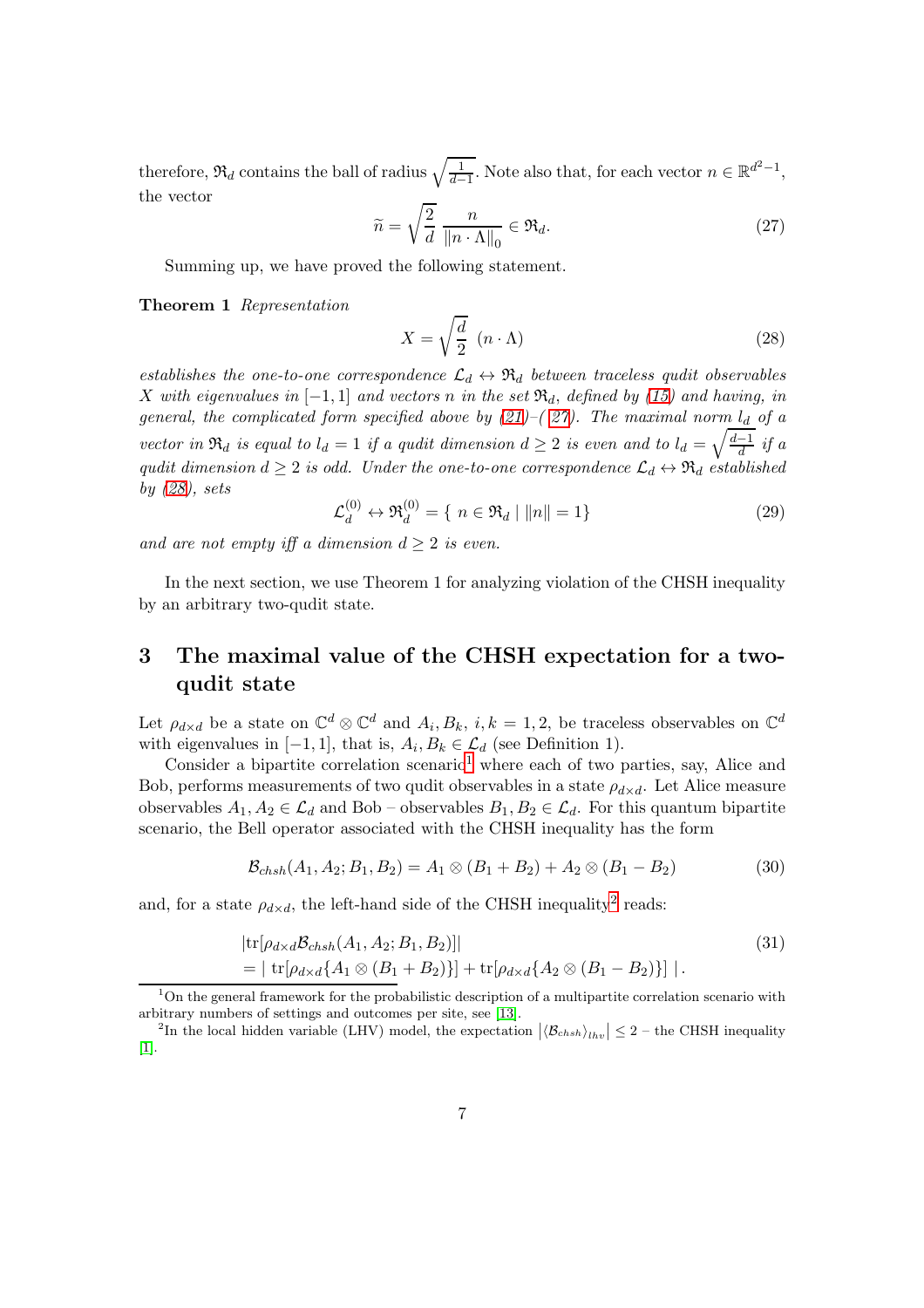therefore,  $\mathfrak{R}_d$  contains the ball of radius  $\sqrt{\frac{1}{d-1}}$ . Note also that, for each vector  $n \in \mathbb{R}^{d^2-1}$ , the vector

<span id="page-6-0"></span>
$$
\widetilde{n} = \sqrt{\frac{2}{d}} \frac{n}{\|n \cdot \Lambda\|_0} \in \mathfrak{R}_d. \tag{27}
$$

Summing up, we have proved the following statement.

#### Theorem 1 Representation

<span id="page-6-1"></span>
$$
X = \sqrt{\frac{d}{2}} \left( n \cdot \Lambda \right) \tag{28}
$$

establishes the one-to-one correspondence  $\mathcal{L}_d \leftrightarrow \mathfrak{R}_d$  between traceless qudit observables X with eigenvalues in  $[-1, 1]$  and vectors n in the set  $\mathfrak{R}_d$ , defined by [\(15\)](#page-4-0) and having, in general, the complicated form specified above by  $(21)$ – $(27)$ . The maximal norm  $l_d$  of a vector in  $\mathfrak{R}_d$  is equal to  $l_d = 1$  if a qudit dimension  $d \geq 2$  is even and to  $l_d = \sqrt{\frac{d-1}{d}}$  if a qudit dimension  $d \geq 2$  is odd. Under the one-to-one correspondence  $\mathcal{L}_d \leftrightarrow \mathfrak{R}_d$  established by  $(28)$ , sets

$$
\mathcal{L}_d^{(0)} \leftrightarrow \mathfrak{R}_d^{(0)} = \{ n \in \mathfrak{R}_d \mid ||n|| = 1 \}
$$
 (29)

and are not empty iff a dimension  $d \geq 2$  is even.

In the next section, we use Theorem 1 for analyzing violation of the CHSH inequality by an arbitrary two-qudit state.

## 3 The maximal value of the CHSH expectation for a twoqudit state

Let  $\rho_{d\times d}$  be a state on  $\mathbb{C}^d\otimes\mathbb{C}^d$  and  $A_i, B_k, i, k = 1, 2$ , be traceless observables on  $\mathbb{C}^d$ with eigenvalues in  $[-1, 1]$ , that is,  $A_i, B_k \in \mathcal{L}_d$  (see Definition 1).

Consider a bipartite correlation scenario<sup>[1](#page-6-2)</sup> where each of two parties, say, Alice and Bob, performs measurements of two qudit observables in a state  $\rho_{d\times d}$ . Let Alice measure observables  $A_1, A_2 \in \mathcal{L}_d$  and Bob – observables  $B_1, B_2 \in \mathcal{L}_d$ . For this quantum bipartite scenario, the Bell operator associated with the CHSH inequality has the form

<span id="page-6-5"></span><span id="page-6-4"></span>
$$
\mathcal{B}_{chsh}(A_1, A_2; B_1, B_2) = A_1 \otimes (B_1 + B_2) + A_2 \otimes (B_1 - B_2)
$$
\n(30)

and, for a state  $\rho_{d \times d}$ , the left-hand side of the CHSH inequality<sup>[2](#page-6-3)</sup> reads:

$$
|\text{tr}[\rho_{d\times d} \mathcal{B}_{chsh}(A_1, A_2; B_1, B_2)]|
$$
  
= | tr[ $\rho_{d\times d}$ { $A_1 \otimes (B_1 + B_2)$ ]} + tr[ $\rho_{d\times d}$ { $A_2 \otimes (B_1 - B_2)$ }]|. (31)

<span id="page-6-2"></span> $1$ On the general framework for the probabilistic description of a multipartite correlation scenario with arbitrary numbers of settings and outcomes per site, see [\[13\]](#page-17-8).

<span id="page-6-3"></span><sup>&</sup>lt;sup>2</sup>In the local hidden variable (LHV) model, the expectation  $|\langle B_{chsh} \rangle_{lhv}| \leq 2$  – the CHSH inequality [\[1\]](#page-16-0).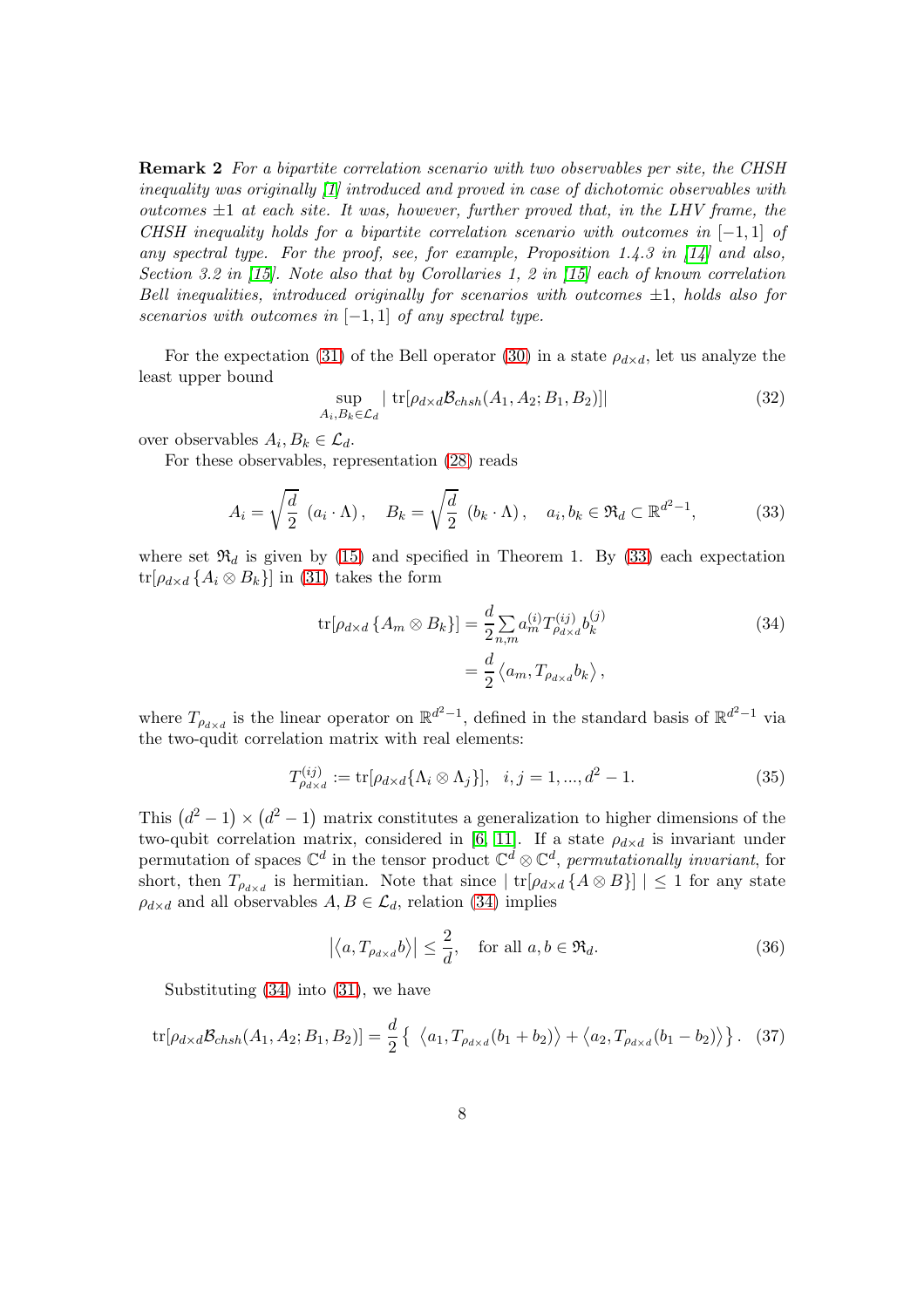Remark 2 For a bipartite correlation scenario with two observables per site, the CHSH inequality was originally [\[1\]](#page-16-0) introduced and proved in case of dichotomic observables with outcomes  $\pm 1$  at each site. It was, however, further proved that, in the LHV frame, the CHSH inequality holds for a bipartite correlation scenario with outcomes in  $[-1, 1]$  of any spectral type. For the proof, see, for example, Proposition 1.4.3 in [\[14\]](#page-17-9) and also, Section 3.2 in [\[15\]](#page-17-10). Note also that by Corollaries 1, 2 in [\[15\]](#page-17-10) each of known correlation Bell inequalities, introduced originally for scenarios with outcomes  $\pm 1$ , holds also for scenarios with outcomes in  $[-1, 1]$  of any spectral type.

For the expectation [\(31\)](#page-6-4) of the Bell operator [\(30\)](#page-6-5) in a state  $\rho_{d \times d}$ , let us analyze the least upper bound

$$
\sup_{A_i, B_k \in \mathcal{L}_d} | \operatorname{tr}[\rho_{d \times d} \mathcal{B}_{chsh}(A_1, A_2; B_1, B_2)] | \tag{32}
$$

over observables  $A_i, B_k \in \mathcal{L}_d$ .

For these observables, representation [\(28\)](#page-6-1) reads

<span id="page-7-0"></span>
$$
A_i = \sqrt{\frac{d}{2}} (a_i \cdot \Lambda), \quad B_k = \sqrt{\frac{d}{2}} (b_k \cdot \Lambda), \quad a_i, b_k \in \Re_d \subset \mathbb{R}^{d^2 - 1}, \tag{33}
$$

where set  $\mathfrak{R}_d$  is given by [\(15\)](#page-4-0) and specified in Theorem 1. By [\(33\)](#page-7-0) each expectation  $tr[\rho_{d\times d} \{A_i \otimes B_k\}]$  in [\(31\)](#page-6-4) takes the form

<span id="page-7-1"></span>
$$
\text{tr}[\rho_{d\times d} \{ A_m \otimes B_k \}] = \frac{d}{2} \sum_{n,m} a_m^{(i)} T_{\rho_{d\times d}}^{(ij)} b_k^{(j)}
$$
\n
$$
= \frac{d}{2} \langle a_m, T_{\rho_{d\times d}} b_k \rangle \,, \tag{34}
$$

where  $T_{\rho_{d\times d}}$  is the linear operator on  $\mathbb{R}^{d^2-1}$ , defined in the standard basis of  $\mathbb{R}^{d^2-1}$  via the two-qudit correlation matrix with real elements:

<span id="page-7-4"></span>
$$
T_{\rho_{d \times d}}^{(ij)} := \text{tr}[\rho_{d \times d} \{\Lambda_i \otimes \Lambda_j\}], \quad i, j = 1, ..., d^2 - 1.
$$
 (35)

This  $(d^2 - 1) \times (d^2 - 1)$  matrix constitutes a generalization to higher dimensions of the two-qubit correlation matrix, considered in [\[6,](#page-17-2) [11\]](#page-17-7). If a state  $\rho_{d\times d}$  is invariant under permutation of spaces  $\mathbb{C}^d$  in the tensor product  $\mathbb{C}^d \otimes \mathbb{C}^d$ , permutationally invariant, for short, then  $T_{\rho_{d\times d}}$  is hermitian. Note that since  $|\operatorname{tr}[\rho_{d\times d}\{A\otimes B\}]|\leq 1$  for any state  $\rho_{d\times d}$  and all observables  $A, B \in \mathcal{L}_d$ , relation [\(34\)](#page-7-1) implies

<span id="page-7-3"></span>
$$
\left| \left\langle a, T_{\rho_{d \times d}} b \right\rangle \right| \le \frac{2}{d}, \quad \text{for all } a, b \in \Re_d. \tag{36}
$$

Substituting [\(34\)](#page-7-1) into [\(31\)](#page-6-4), we have

<span id="page-7-2"></span>
$$
\text{tr}[\rho_{d \times d} \mathcal{B}_{chsh}(A_1, A_2; B_1, B_2)] = \frac{d}{2} \left\{ \langle a_1, T_{\rho_{d \times d}}(b_1 + b_2) \rangle + \langle a_2, T_{\rho_{d \times d}}(b_1 - b_2) \rangle \right\}. \tag{37}
$$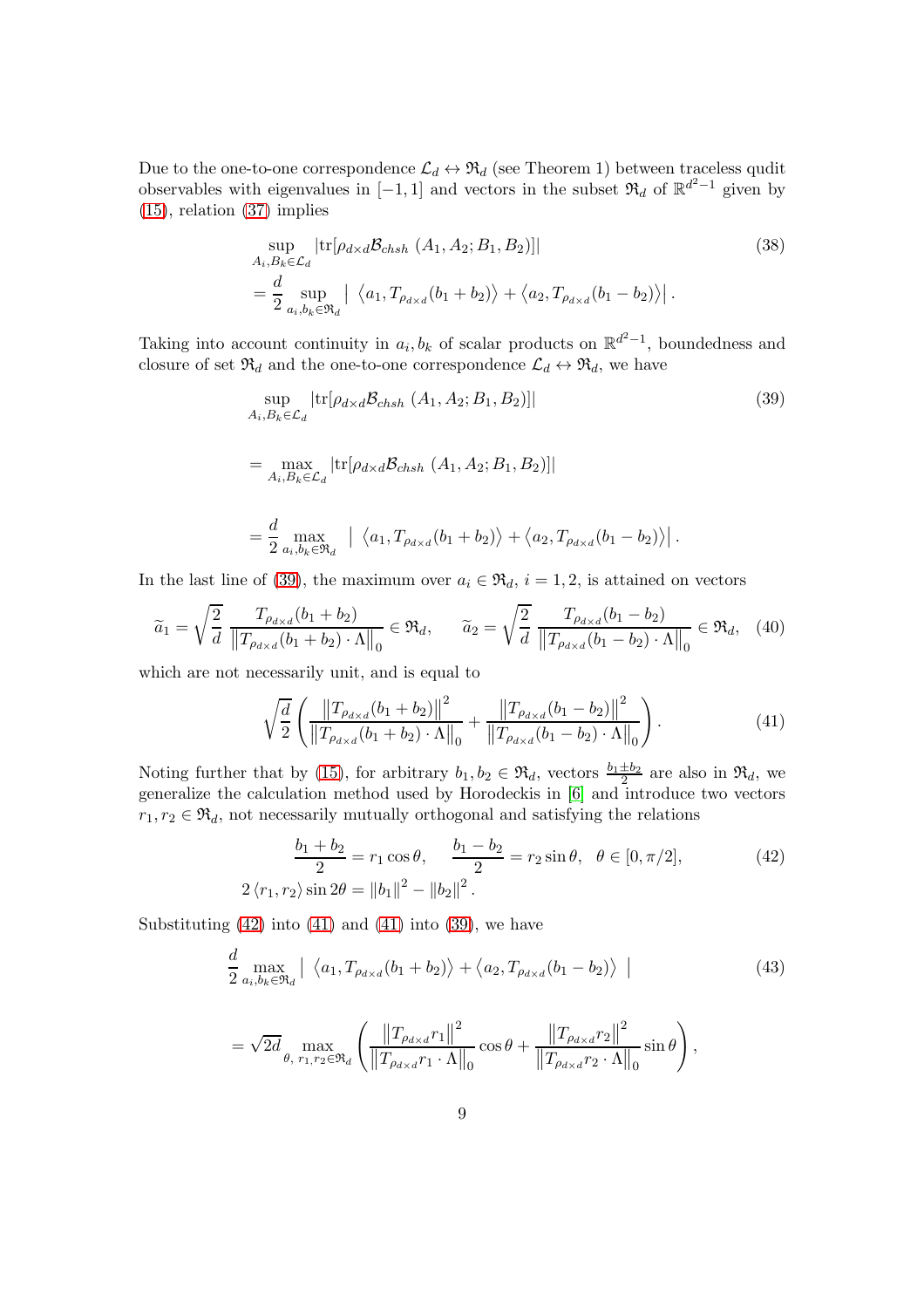Due to the one-to-one correspondence  $\mathcal{L}_d \leftrightarrow \mathfrak{R}_d$  (see Theorem 1) between traceless qudit observables with eigenvalues in [-1, 1] and vectors in the subset  $\mathfrak{R}_d$  of  $\mathbb{R}^{d^2-1}$  given by [\(15\)](#page-4-0), relation [\(37\)](#page-7-2) implies

$$
\sup_{A_i, B_k \in \mathcal{L}_d} |\text{tr}[\rho_{d \times d} \mathcal{B}_{chsh} (A_1, A_2; B_1, B_2)]|
$$
\n
$$
= \frac{d}{2} \sup_{a_i, b_k \in \mathfrak{R}_d} |\langle a_1, T_{\rho_{d \times d}}(b_1 + b_2) \rangle + \langle a_2, T_{\rho_{d \times d}}(b_1 - b_2) \rangle|.
$$
\n(38)

Taking into account continuity in  $a_i, b_k$  of scalar products on  $\mathbb{R}^{d^2-1}$ , boundedness and closure of set  $\mathfrak{R}_d$  and the one-to-one correspondence  $\mathcal{L}_d \leftrightarrow \mathfrak{R}_d$ , we have

<span id="page-8-0"></span>
$$
\sup_{A_i, B_k \in \mathcal{L}_d} |\text{tr}[\rho_{d \times d} \mathcal{B}_{chsh} (A_1, A_2; B_1, B_2)]|
$$
\n
$$
= \max_{A_i, B_k \in \mathcal{L}_d} |\text{tr}[\rho_{d \times d} \mathcal{B}_{chsh} (A_1, A_2; B_1, B_2)]|
$$
\n
$$
= \frac{d}{2} \max_{a_i, b_k \in \mathfrak{R}_d} \left| \langle a_1, T_{\rho_{d \times d}} (b_1 + b_2) \rangle + \langle a_2, T_{\rho_{d \times d}} (b_1 - b_2) \rangle \right|.
$$
\n(39)

In the last line of [\(39\)](#page-8-0), the maximum over  $a_i \in \mathfrak{R}_d$ ,  $i = 1, 2$ , is attained on vectors

$$
\widetilde{a}_1 = \sqrt{\frac{2}{d}} \frac{T_{\rho_{d \times d}}(b_1 + b_2)}{\|T_{\rho_{d \times d}}(b_1 + b_2) \cdot \Lambda\|_0} \in \mathfrak{R}_d, \qquad \widetilde{a}_2 = \sqrt{\frac{2}{d}} \frac{T_{\rho_{d \times d}}(b_1 - b_2)}{\|T_{\rho_{d \times d}}(b_1 - b_2) \cdot \Lambda\|_0} \in \mathfrak{R}_d, \quad (40)
$$

which are not necessarily unit, and is equal to

<span id="page-8-2"></span>
$$
\sqrt{\frac{d}{2}} \left( \frac{\left\| T_{\rho_{d \times d}}(b_1 + b_2) \right\|^2}{\left\| T_{\rho_{d \times d}}(b_1 + b_2) \cdot \Lambda \right\|_0} + \frac{\left\| T_{\rho_{d \times d}}(b_1 - b_2) \right\|^2}{\left\| T_{\rho_{d \times d}}(b_1 - b_2) \cdot \Lambda \right\|_0} \right). \tag{41}
$$

Noting further that by [\(15\)](#page-4-0), for arbitrary  $b_1, b_2 \in \mathfrak{R}_d$ , vectors  $\frac{b_1 \pm b_2}{2}$  are also in  $\mathfrak{R}_d$ , we generalize the calculation method used by Horodeckis in [\[6\]](#page-17-2) and introduce two vectors  $r_1, r_2 \in \mathfrak{R}_d$ , not necessarily mutually orthogonal and satisfying the relations

<span id="page-8-1"></span>
$$
\frac{b_1 + b_2}{2} = r_1 \cos \theta, \quad \frac{b_1 - b_2}{2} = r_2 \sin \theta, \quad \theta \in [0, \pi/2],
$$
  
 
$$
2 \langle r_1, r_2 \rangle \sin 2\theta = ||b_1||^2 - ||b_2||^2.
$$
 (42)

Substituting  $(42)$  into  $(41)$  and  $(41)$  into  $(39)$ , we have

$$
\frac{d}{2} \max_{a_i, b_k \in \mathfrak{R}_d} \left| \left\langle a_1, T_{\rho_{d \times d}}(b_1 + b_2) \right\rangle + \left\langle a_2, T_{\rho_{d \times d}}(b_1 - b_2) \right\rangle \right| \tag{43}
$$

$$
= \sqrt{2d} \max_{\theta, r_1, r_2 \in \mathfrak{R}_d} \left( \frac{\left\| T_{\rho_{d \times d}} r_1 \right\|^2}{\left\| T_{\rho_{d \times d}} r_1 \cdot \Lambda \right\|_0} \cos \theta + \frac{\left\| T_{\rho_{d \times d}} r_2 \right\|^2}{\left\| T_{\rho_{d \times d}} r_2 \cdot \Lambda \right\|_0} \sin \theta \right),
$$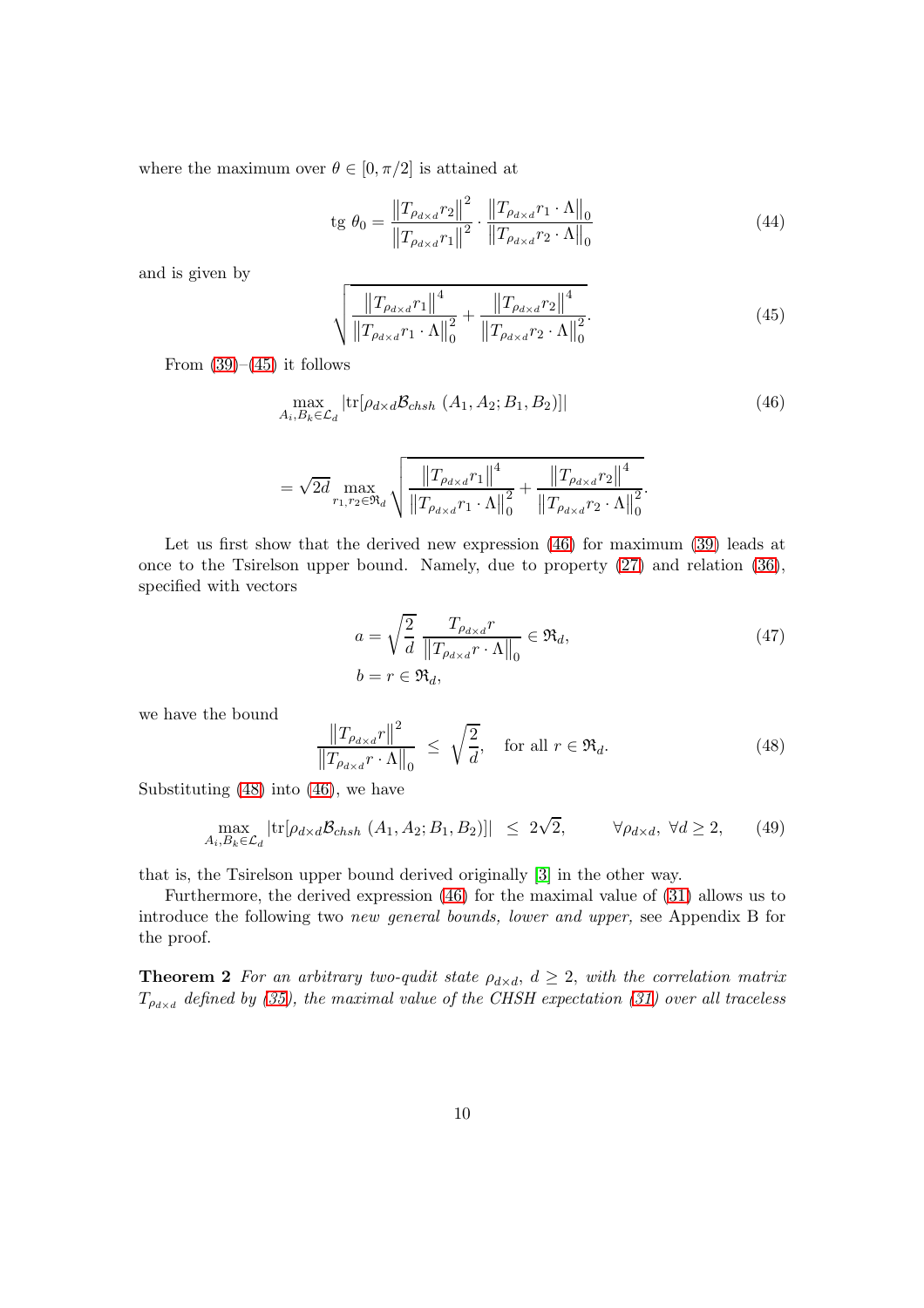where the maximum over  $\theta \in [0, \pi/2]$  is attained at

tg 
$$
\theta_0 = \frac{\|T_{\rho_{d \times d}} r_2\|^2}{\|T_{\rho_{d \times d}} r_1\|^2} \cdot \frac{\|T_{\rho_{d \times d}} r_1 \cdot \Lambda\|_0}{\|T_{\rho_{d \times d}} r_2 \cdot \Lambda\|_0}
$$
 (44)

and is given by

<span id="page-9-0"></span>
$$
\sqrt{\frac{\left\|T_{\rho_{d\times d}}r_{1}\right\|^{4}}{\left\|T_{\rho_{d\times d}}r_{1}\cdot\Lambda\right\|_{0}^{2}}+\frac{\left\|T_{\rho_{d\times d}}r_{2}\right\|^{4}}{\left\|T_{\rho_{d\times d}}r_{2}\cdot\Lambda\right\|_{0}^{2}}.
$$
(45)

From  $(39)–(45)$  $(39)–(45)$  it follows

$$
\max_{A_i, B_k \in \mathcal{L}_d} |\text{tr}[\rho_{d \times d} \mathcal{B}_{chsh} \ (A_1, A_2; B_1, B_2)]|
$$
\n(46)

$$
= \sqrt{2d} \max_{r_1, r_2 \in \mathfrak{R}_d} \sqrt{\frac{\left\|T_{\rho_{d \times d}} r_1\right\|^4}{\left\|T_{\rho_{d \times d}} r_1 \cdot \Lambda\right\|_0^2} + \frac{\left\|T_{\rho_{d \times d}} r_2\right\|^4}{\left\|T_{\rho_{d \times d}} r_2 \cdot \Lambda\right\|_0^2}}
$$

Let us first show that the derived new expression [\(46\)](#page-9-1) for maximum [\(39\)](#page-8-0) leads at once to the Tsirelson upper bound. Namely, due to property [\(27\)](#page-6-0) and relation [\(36\)](#page-7-3), specified with vectors

$$
a = \sqrt{\frac{2}{d}} \frac{T_{\rho_{d \times d}} r}{\|T_{\rho_{d \times d}} r \cdot \Lambda\|_0} \in \mathfrak{R}_d,
$$
\n
$$
b = r \in \mathfrak{R}_d,
$$
\n
$$
(47)
$$

<span id="page-9-1"></span>.

we have the bound

<span id="page-9-2"></span>
$$
\frac{\|T_{\rho_{d\times d}}r\|^2}{\|T_{\rho_{d\times d}}r \cdot \Lambda\|_0} \le \sqrt{\frac{2}{d}}, \quad \text{for all } r \in \mathfrak{R}_d. \tag{48}
$$

Substituting [\(48\)](#page-9-2) into [\(46\)](#page-9-1), we have

$$
\max_{A_i, B_k \in \mathcal{L}_d} |\text{tr}[\rho_{d \times d} \mathcal{B}_{chsh} (A_1, A_2; B_1, B_2)]| \leq 2\sqrt{2}, \qquad \forall \rho_{d \times d}, \ \forall d \geq 2, \qquad (49)
$$

that is, the Tsirelson upper bound derived originally [\[3\]](#page-16-2) in the other way.

Furthermore, the derived expression [\(46\)](#page-9-1) for the maximal value of [\(31\)](#page-6-4) allows us to introduce the following two new general bounds, lower and upper, see Appendix B for the proof.

**Theorem 2** For an arbitrary two-qudit state  $\rho_{d \times d}$ ,  $d \geq 2$ , with the correlation matrix  $T_{\rho_{d\times d}}$  defined by [\(35\)](#page-7-4), the maximal value of the CHSH expectation [\(31\)](#page-6-4) over all traceless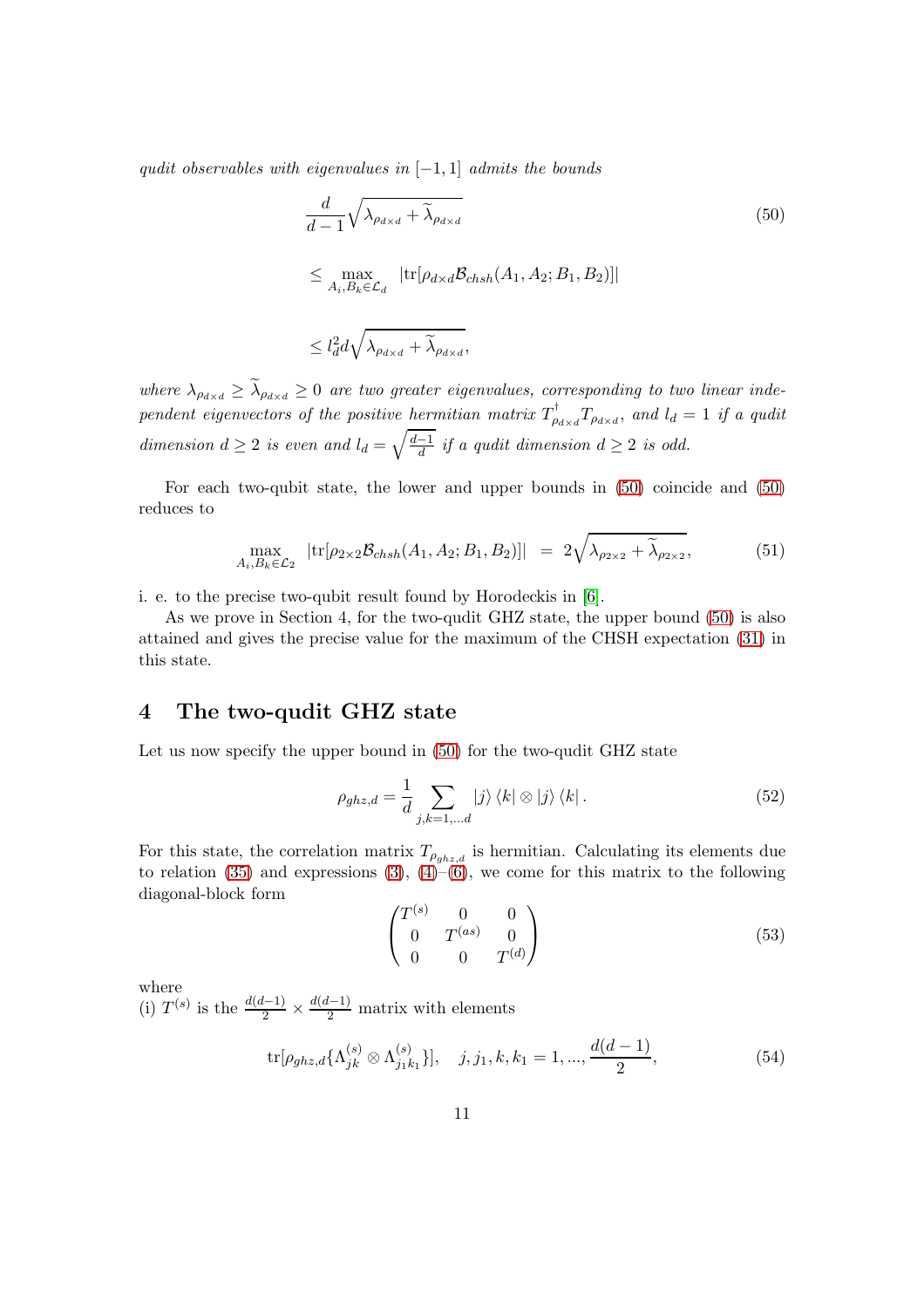qudit observables with eigenvalues in  $[-1, 1]$  admits the bounds

<span id="page-10-0"></span>
$$
\frac{d}{d-1} \sqrt{\lambda_{\rho_{d\times d}} + \widetilde{\lambda}_{\rho_{d\times d}}} \qquad (50)
$$
\n
$$
\leq \max_{A_i, B_k \in \mathcal{L}_d} \left| \text{tr}[\rho_{d\times d} \mathcal{B}_{chsh}(A_1, A_2; B_1, B_2)] \right|
$$
\n
$$
\leq l_d^2 d \sqrt{\lambda_{\rho_{d\times d}} + \widetilde{\lambda}_{\rho_{d\times d}}},
$$

where  $\lambda_{\rho_{d\times d}} \geq \lambda_{\rho_{d\times d}} \geq 0$  are two greater eigenvalues, corresponding to two linear independent eigenvectors of the positive hermitian matrix  $T^{\text{t}}_{\rho_{d \times d}} T_{\rho_{d \times d}}$ , and  $l_d = 1$  if a qudit dimension  $d \geq 2$  is even and  $l_d = \sqrt{\frac{d-1}{d}}$  if a qudit dimension  $d \geq 2$  is odd.

For each two-qubit state, the lower and upper bounds in [\(50\)](#page-10-0) coincide and [\(50\)](#page-10-0) reduces to

$$
\max_{A_i, B_k \in \mathcal{L}_2} |tr[\rho_{2 \times 2} \mathcal{B}_{chsh}(A_1, A_2; B_1, B_2)]| = 2\sqrt{\lambda_{\rho_{2 \times 2}} + \widetilde{\lambda}_{\rho_{2 \times 2}}},
$$
(51)

i. e. to the precise two-qubit result found by Horodeckis in [\[6\]](#page-17-2).

As we prove in Section 4, for the two-qudit GHZ state, the upper bound [\(50\)](#page-10-0) is also attained and gives the precise value for the maximum of the CHSH expectation [\(31\)](#page-6-4) in this state.

#### 4 The two-qudit GHZ state

Let us now specify the upper bound in [\(50\)](#page-10-0) for the two-qudit GHZ state

<span id="page-10-1"></span>
$$
\rho_{ghz,d} = \frac{1}{d} \sum_{j,k=1,\dots,d} |j\rangle \langle k| \otimes |j\rangle \langle k|.
$$
\n(52)

For this state, the correlation matrix  $T_{\rho_{ghz,d}}$  is hermitian. Calculating its elements due to relation  $(35)$  and expressions  $(3), (4)-(6)$  $(3), (4)-(6)$  $(3), (4)-(6)$  $(3), (4)-(6)$ , we come for this matrix to the following diagonal-block form

<span id="page-10-2"></span>
$$
\begin{pmatrix}\nT^{(s)} & 0 & 0 \\
0 & T^{(as)} & 0 \\
0 & 0 & T^{(d)}\n\end{pmatrix}
$$
\n(53)

where

(i)  $T^{(s)}$  is the  $\frac{d(d-1)}{2} \times \frac{d(d-1)}{2}$  matrix with elements

$$
\text{tr}[\rho_{ghz,d}\{\Lambda_{jk}^{(s)}\otimes\Lambda_{j_1k_1}^{(s)}\}], \quad j, j_1, k, k_1 = 1, ..., \frac{d(d-1)}{2}, \tag{54}
$$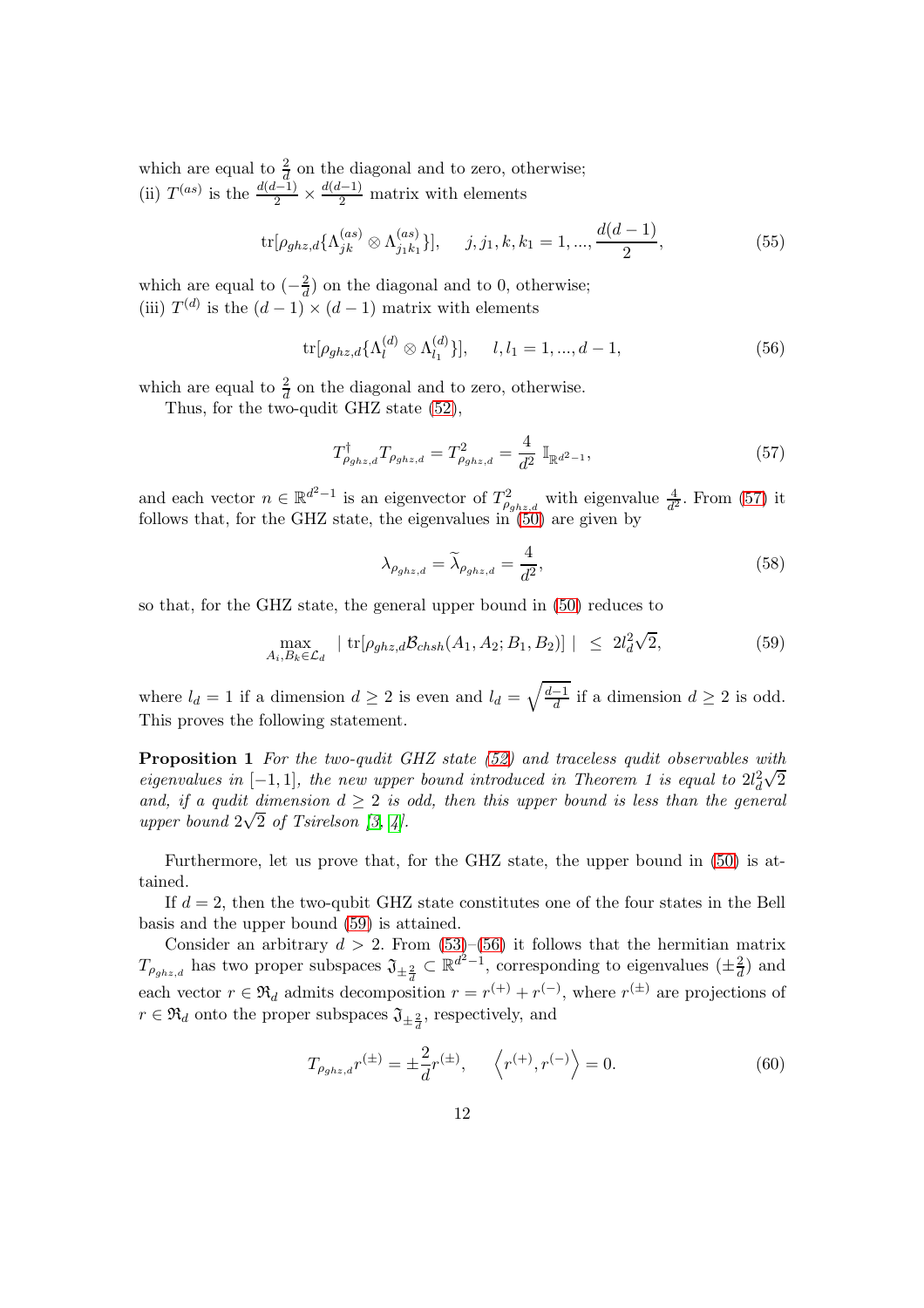which are equal to  $\frac{2}{d}$  on the diagonal and to zero, otherwise; (ii)  $T^{(as)}$  is the  $\frac{d(d-1)}{2} \times \frac{d(d-1)}{2}$  matrix with elements

<span id="page-11-3"></span>
$$
\text{tr}[\rho_{ghz,d}\{\Lambda_{jk}^{(as)}\otimes\Lambda_{j_1k_1}^{(as)}\}], \quad j, j_1, k, k_1 = 1, ..., \frac{d(d-1)}{2}, \tag{55}
$$

which are equal to  $\left(-\frac{2}{d}\right)$  $\frac{2}{d}$ ) on the diagonal and to 0, otherwise; (iii)  $T^{(d)}$  is the  $(d-1) \times (d-1)$  matrix with elements

<span id="page-11-2"></span>
$$
\text{tr}[\rho_{ghz,d}\{\Lambda_l^{(d)}\otimes\Lambda_{l_1}^{(d)}\}], \quad l, l_1 = 1, ..., d-1,
$$
\n(56)

which are equal to  $\frac{2}{d}$  on the diagonal and to zero, otherwise.

Thus, for the two-qudit GHZ state [\(52\)](#page-10-1),

<span id="page-11-0"></span>
$$
T^{\dagger}_{\rho_{ghz,d}} T_{\rho_{ghz,d}} = T^2_{\rho_{ghz,d}} = \frac{4}{d^2} \mathbb{I}_{\mathbb{R}^{d^2 - 1}},\tag{57}
$$

and each vector  $n \in \mathbb{R}^{d^2-1}$  is an eigenvector of  $T^2_{\rho_{ghz,d}}$  with eigenvalue  $\frac{4}{d^2}$ . From [\(57\)](#page-11-0) it follows that, for the GHZ state, the eigenvalues in [\(50\)](#page-10-0) are given by

$$
\lambda_{\rho_{ghz,d}} = \tilde{\lambda}_{\rho_{ghz,d}} = \frac{4}{d^2},\tag{58}
$$

so that, for the GHZ state, the general upper bound in [\(50\)](#page-10-0) reduces to

<span id="page-11-1"></span>
$$
\max_{A_i, B_k \in \mathcal{L}_d} \left| \operatorname{tr}[\rho_{ghz,d} \mathcal{B}_{chsh}(A_1, A_2; B_1, B_2)] \right| \leq 2l_d^2 \sqrt{2}, \tag{59}
$$

where  $l_d = 1$  if a dimension  $d \geq 2$  is even and  $l_d = \sqrt{\frac{d-1}{d}}$  if a dimension  $d \geq 2$  is odd. This proves the following statement.

**Proposition 1** For the two-qudit GHZ state [\(52\)](#page-10-1) and traceless qudit observables with eigenvalues in  $[-1,1]$ , the new upper bound introduced in Theorem 1 is equal to  $2l_d^2$  $\sqrt{2}$ and, if a qudit dimension  $d > 2$  is odd, then this upper bound is less than the general upper bound  $2\sqrt{2}$  of Tsirelson [\[3,](#page-16-2) [4\]](#page-17-0).

Furthermore, let us prove that, for the GHZ state, the upper bound in [\(50\)](#page-10-0) is attained.

If  $d = 2$ , then the two-qubit GHZ state constitutes one of the four states in the Bell basis and the upper bound [\(59\)](#page-11-1) is attained.

Consider an arbitrary  $d > 2$ . From  $(53)$ – $(56)$  it follows that the hermitian matrix  $T_{\rho_{ghz,d}}$  has two proper subspaces  $\mathfrak{J}_{\pm\frac{2}{d}} \subset \mathbb{R}^{d^2-1}$ , corresponding to eigenvalues  $(\pm\frac{2}{d})$  and each vector  $r \in \mathfrak{R}_d$  admits decomposition  $r = r^{(+)} + r^{(-)}$ , where  $r^{(\pm)}$  are projections of  $r \in \Re_d$  onto the proper subspaces  $\mathfrak{J}_{\pm \frac{2}{d}}$ , respectively, and

$$
T_{\rho_{ghz,d}}r^{(\pm)} = \pm \frac{2}{d}r^{(\pm)}, \qquad \left\langle r^{(+)}, r^{(-)} \right\rangle = 0. \tag{60}
$$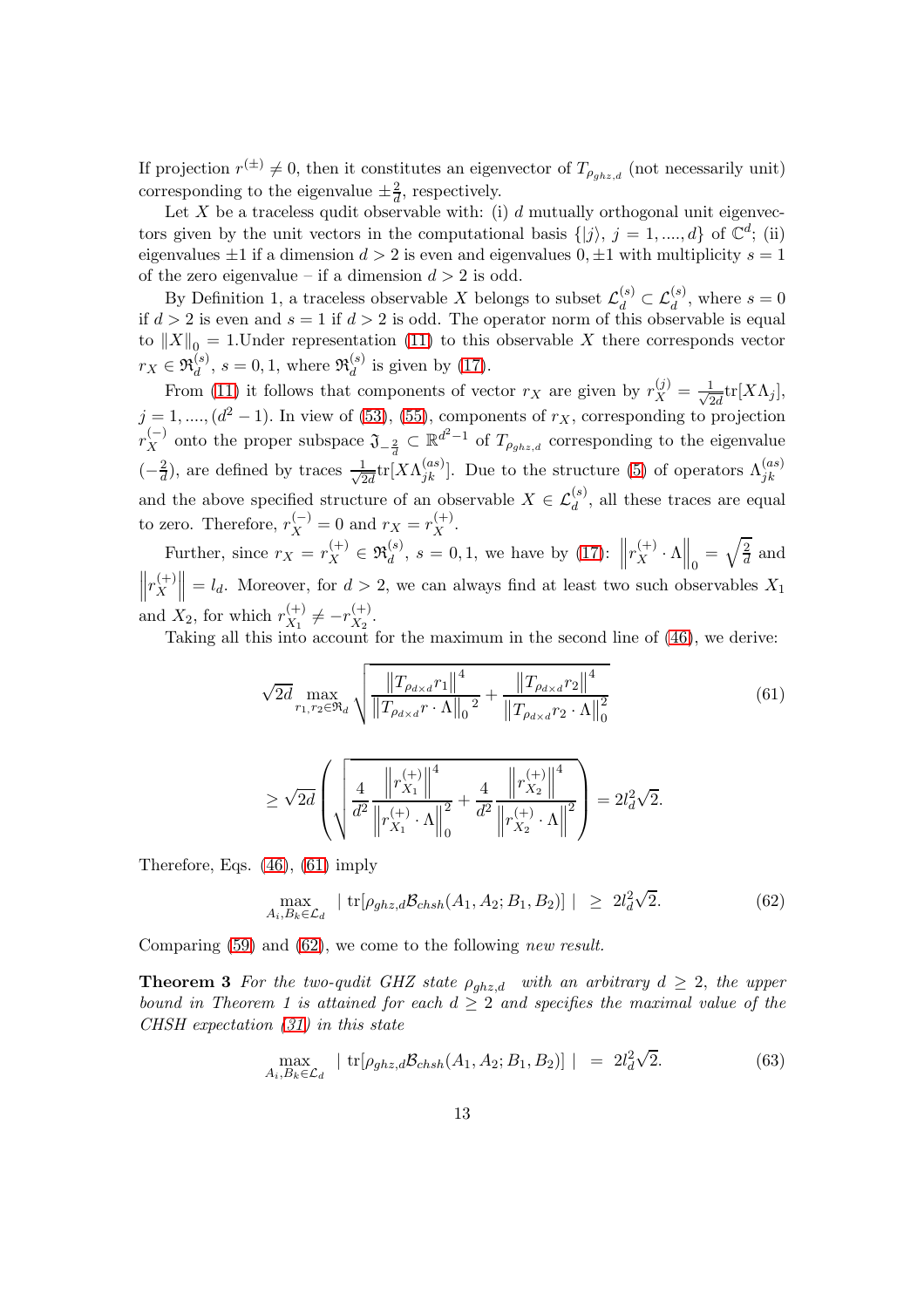If projection  $r^{(\pm)} \neq 0$ , then it constitutes an eigenvector of  $T_{\rho_{ghz,d}}$  (not necessarily unit) corresponding to the eigenvalue  $\pm \frac{2}{d}$  $\frac{2}{d}$ , respectively.

Let  $X$  be a traceless qudit observable with: (i)  $d$  mutually orthogonal unit eigenvectors given by the unit vectors in the computational basis  $\{|j\rangle, j = 1, ..., d\}$  of  $\mathbb{C}^d$ ; (ii) eigenvalues  $\pm 1$  if a dimension  $d > 2$  is even and eigenvalues  $0, \pm 1$  with multiplicity  $s = 1$ of the zero eigenvalue – if a dimension  $d > 2$  is odd.

By Definition 1, a traceless observable X belongs to subset  $\mathcal{L}_d^{(s)} \subset \mathcal{L}_d^{(s)}$ , where  $s = 0$ if  $d > 2$  is even and  $s = 1$  if  $d > 2$  is odd. The operator norm of this observable is equal to  $||X||_0 = 1$ . Under representation [\(11\)](#page-3-1) to this observable X there corresponds vector  $r_X \in \mathfrak{R}_d^{(s)}$  $\mathfrak{a}_{d}^{(s)}$ ,  $s = 0, 1$ , where  $\mathfrak{R}_{d}^{(s)}$  $\frac{d}{d}$  is given by [\(17\)](#page-4-4).

From [\(11\)](#page-3-1) it follows that components of vector  $r_X$  are given by  $r_X^{(j)} = \frac{1}{\sqrt{2}}$  $\frac{1}{2d}\text{tr}[X\Lambda_j],$  $j = 1, \ldots, (d^2 - 1)$ . In view of [\(53\)](#page-10-2), [\(55\)](#page-11-3), components of  $r_X$ , corresponding to projection  $r_X^{(-)}$  onto the proper subspace  $\mathfrak{J}_{-\frac{2}{d}} \subset \mathbb{R}^{d^2-1}$  of  $T_{\rho_{ghz,d}}$  corresponding to the eigenvalue  $\left(-\frac{2}{d}\right)$ , are defined by traces  $\frac{1}{\sqrt{2}}$  $\frac{1}{2d}$ tr[ $X\Lambda_{jk}^{(as)}$ ]. Due to the structure [\(5\)](#page-2-4) of operators  $\Lambda_{jk}^{(as)}$ and the above specified structure of an observable  $X \in \mathcal{L}_d^{(s)}$ , all these traces are equal to zero. Therefore,  $r_X^{(-)} = 0$  and  $r_X = r_X^{(+)}$  $X^{(+)}$ .

Further, since  $r_X = r_X^{(+)} \in \mathfrak{R}_d^{(s)}$  $\int_{d}^{(s)}$ ,  $s = 0, 1$ , we have by [\(17\)](#page-4-4):  $||r_X^{(+)}||$  $\left.\frac{d^{(+)}}{dx} \cdot \Lambda \right|_0 = \sqrt{\frac{2}{d}}$  $\frac{2}{d}$  and  $\bigg\| r_X^{(+)}$ X  $\|\cdot\| = l_d$ . Moreover, for  $d > 2$ , we can always find at least two such observables  $X_1$ and  $X_2$ , for which  $r_{X_1}^{(+)}$  $\binom{(+)}{X_1} \neq -r\binom{(+)}{X_2}$  $X_2$ .

Taking all this into account for the maximum in the second line of [\(46\)](#page-9-1), we derive:

<span id="page-12-0"></span>
$$
\sqrt{2d} \max_{r_1, r_2 \in \mathfrak{R}_d} \sqrt{\frac{\left\|T_{\rho_{d \times d}} r_1\right\|^4}{\left\|T_{\rho_{d \times d}} r \cdot \Lambda\right\|_0^2} + \frac{\left\|T_{\rho_{d \times d}} r_2\right\|^4}{\left\|T_{\rho_{d \times d}} r_2 \cdot \Lambda\right\|_0^2}}
$$
(61)

$$
\geq \sqrt{2d} \left( \sqrt{\frac{4}{d^2} \frac{\left\| r_{X_1}^{(+)} \right\|^4}{\left\| r_{X_1}^{(+)} \cdot \Lambda \right\|_0^2} + \frac{4}{d^2} \frac{\left\| r_{X_2}^{(+)} \right\|^4}{\left\| r_{X_2}^{(+)} \cdot \Lambda \right\|^2}} \right) = 2l_d^2 \sqrt{2}.
$$

Therefore, Eqs. [\(46\)](#page-9-1), [\(61\)](#page-12-0) imply

<span id="page-12-1"></span>
$$
\max_{A_i, B_k \in \mathcal{L}_d} |tr[\rho_{ghz,d} \mathcal{B}_{chsh}(A_1, A_2; B_1, B_2)]| \geq 2l_d^2 \sqrt{2}.
$$
 (62)

Comparing [\(59\)](#page-11-1) and [\(62\)](#page-12-1), we come to the following new result.

**Theorem 3** For the two-qudit GHZ state  $\rho_{qhz,d}$  with an arbitrary  $d \geq 2$ , the upper bound in Theorem 1 is attained for each  $d \geq 2$  and specifies the maximal value of the CHSH expectation [\(31\)](#page-6-4) in this state

$$
\max_{A_i, B_k \in \mathcal{L}_d} | \text{tr}[\rho_{ghz,d} \mathcal{B}_{chsh}(A_1, A_2; B_1, B_2)] | = 2l_d^2 \sqrt{2}.
$$
 (63)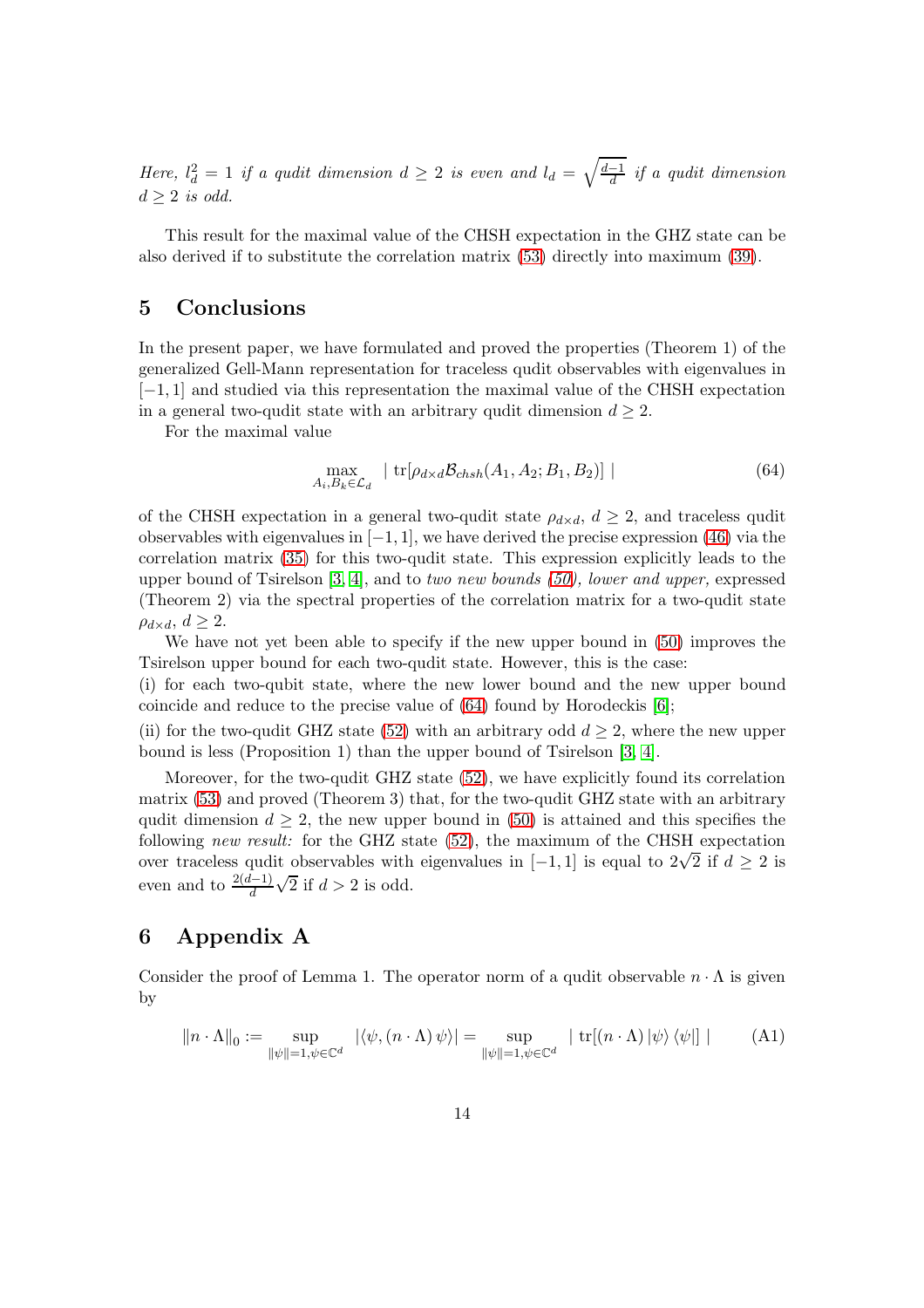Here,  $l_d^2 = 1$  if a qudit dimension  $d \geq 2$  is even and  $l_d = \sqrt{\frac{d-1}{d}}$  if a qudit dimension  $d \geq 2$  is odd.

This result for the maximal value of the CHSH expectation in the GHZ state can be also derived if to substitute the correlation matrix [\(53\)](#page-10-2) directly into maximum [\(39\)](#page-8-0).

#### 5 Conclusions

In the present paper, we have formulated and proved the properties (Theorem 1) of the generalized Gell-Mann representation for traceless qudit observables with eigenvalues in [−1, 1] and studied via this representation the maximal value of the CHSH expectation in a general two-qudit state with an arbitrary qudit dimension  $d \geq 2$ .

For the maximal value

<span id="page-13-0"></span>
$$
\max_{A_i, B_k \in \mathcal{L}_d} \left| \text{tr}[\rho_{d \times d} \mathcal{B}_{chsh}(A_1, A_2; B_1, B_2)] \right| \tag{64}
$$

of the CHSH expectation in a general two-qudit state  $\rho_{d \times d}$ ,  $d \geq 2$ , and traceless qudit observables with eigenvalues in  $[-1, 1]$ , we have derived the precise expression [\(46\)](#page-9-1) via the correlation matrix [\(35\)](#page-7-4) for this two-qudit state. This expression explicitly leads to the upper bound of Tsirelson  $[3, 4]$  $[3, 4]$ , and to two new bounds  $(50)$ , lower and upper, expressed (Theorem 2) via the spectral properties of the correlation matrix for a two-qudit state  $\rho_{d \times d}$ ,  $d \geq 2$ .

We have not yet been able to specify if the new upper bound in [\(50\)](#page-10-0) improves the Tsirelson upper bound for each two-qudit state. However, this is the case:

(i) for each two-qubit state, where the new lower bound and the new upper bound coincide and reduce to the precise value of [\(64\)](#page-13-0) found by Horodeckis [\[6\]](#page-17-2);

(ii) for the two-qudit GHZ state [\(52\)](#page-10-1) with an arbitrary odd  $d > 2$ , where the new upper bound is less (Proposition 1) than the upper bound of Tsirelson [\[3,](#page-16-2) [4\]](#page-17-0).

Moreover, for the two-qudit GHZ state [\(52\)](#page-10-1), we have explicitly found its correlation matrix [\(53\)](#page-10-2) and proved (Theorem 3) that, for the two-qudit GHZ state with an arbitrary qudit dimension  $d \geq 2$ , the new upper bound in [\(50\)](#page-10-0) is attained and this specifies the following new result: for the GHZ state [\(52\)](#page-10-1), the maximum of the CHSH expectation over traceless qudit observables with eigenvalues in  $[-1, 1]$  is equal to  $2\sqrt{2}$  if  $d \ge 2$  is even and to  $\frac{2(d-1)}{d}$  $\sqrt{2}$  if  $d > 2$  is odd.

### 6 Appendix A

Consider the proof of Lemma 1. The operator norm of a qudit observable  $n \cdot \Lambda$  is given by

<span id="page-13-1"></span>
$$
||n \cdot \Lambda||_0 := \sup_{\|\psi\|=1, \psi \in \mathbb{C}^d} |\langle \psi, (n \cdot \Lambda) \psi \rangle| = \sup_{\|\psi\|=1, \psi \in \mathbb{C}^d} | \text{tr}[(n \cdot \Lambda) \psi \rangle \langle \psi| ] |
$$
 (A1)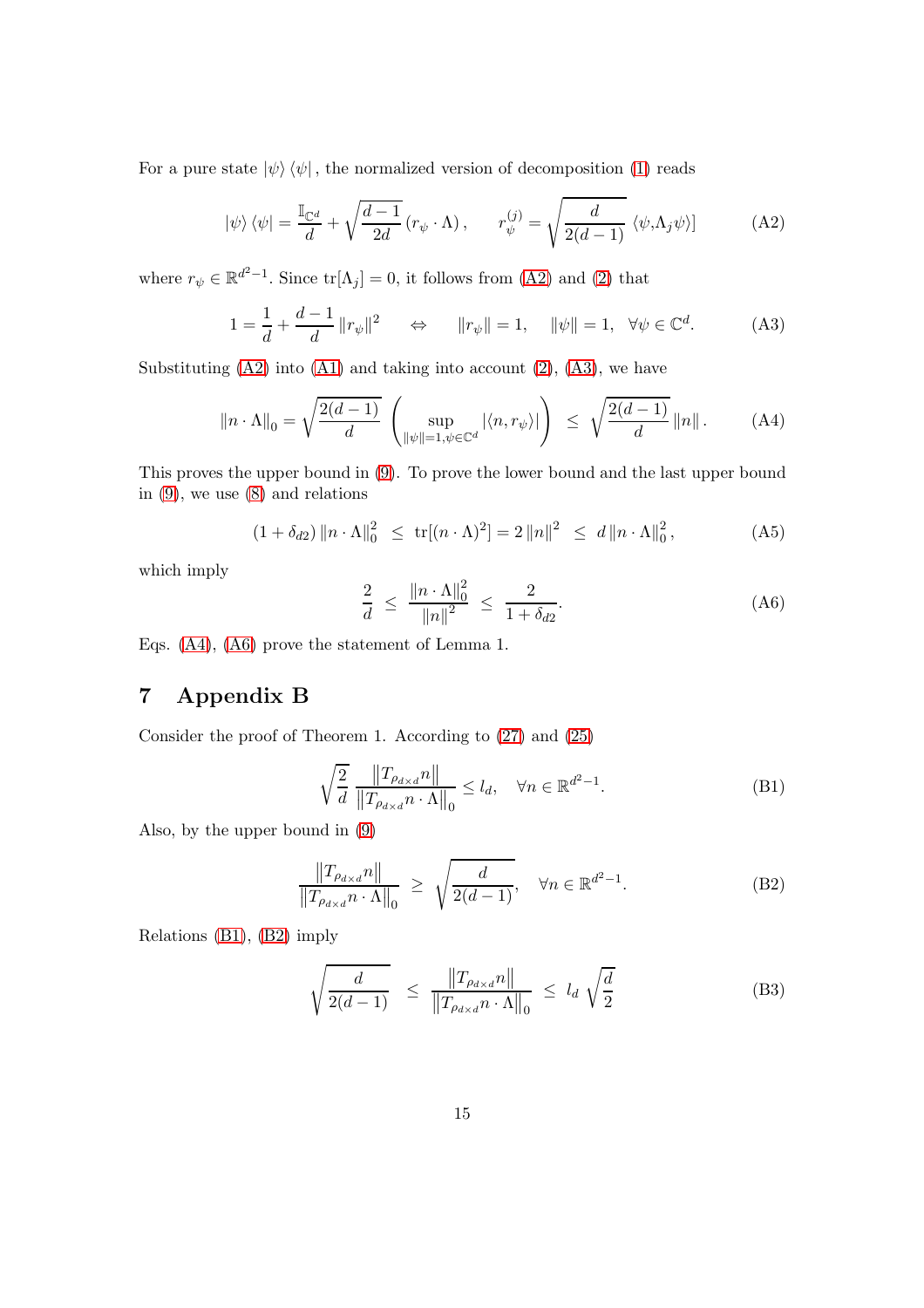For a pure state  $|\psi\rangle\langle\psi|$ , the normalized version of decomposition [\(1\)](#page-2-0) reads

<span id="page-14-0"></span>
$$
|\psi\rangle\langle\psi| = \frac{\mathbb{I}_{\mathbb{C}^d}}{d} + \sqrt{\frac{d-1}{2d}} (r_{\psi} \cdot \Lambda), \qquad r_{\psi}^{(j)} = \sqrt{\frac{d}{2(d-1)}} \langle\psi, \Lambda_j \psi\rangle]
$$
 (A2)

where  $r_{\psi} \in \mathbb{R}^{d^2-1}$ . Since  $\text{tr}[\Lambda_j] = 0$ , it follows from [\(A2\)](#page-14-0) and [\(2\)](#page-2-6) that

$$
1 = \frac{1}{d} + \frac{d-1}{d} ||r_{\psi}||^2 \qquad \Leftrightarrow \qquad ||r_{\psi}|| = 1, \quad ||\psi|| = 1, \quad \forall \psi \in \mathbb{C}^d. \tag{A3}
$$

Substituting  $(A2)$  into  $(A1)$  and taking into account  $(2)$ ,  $(A3)$ , we have

$$
\|n \cdot \Lambda\|_0 = \sqrt{\frac{2(d-1)}{d}} \left( \sup_{\|\psi\|=1, \psi \in \mathbb{C}^d} |\langle n, r_{\psi} \rangle| \right) \le \sqrt{\frac{2(d-1)}{d}} \|n\|.
$$
 (A4)

This proves the upper bound in [\(9\)](#page-3-0). To prove the lower bound and the last upper bound in [\(9\)](#page-3-0), we use [\(8\)](#page-3-3) and relations

$$
(1 + \delta_{d2}) \|n \cdot \Lambda\|_{0}^{2} \le \text{tr}[(n \cdot \Lambda)^{2}] = 2 \|n\|^{2} \le d \|n \cdot \Lambda\|_{0}^{2}, \qquad (A5)
$$

which imply

<span id="page-14-3"></span><span id="page-14-2"></span><span id="page-14-1"></span>
$$
\frac{2}{d} \le \frac{\|n \cdot \Lambda\|_0^2}{\|n\|^2} \le \frac{2}{1 + \delta_{d2}}.\tag{A6}
$$

Eqs. [\(A4\)](#page-14-2), [\(A6\)](#page-14-3) prove the statement of Lemma 1.

## 7 Appendix B

Consider the proof of Theorem 1. According to [\(27\)](#page-6-0) and [\(25\)](#page-5-3)

<span id="page-14-5"></span><span id="page-14-4"></span>
$$
\sqrt{\frac{2}{d}} \frac{\|T_{\rho_{d\times d}}n\|}{\|T_{\rho_{d\times d}}n \cdot \Lambda\|_0} \le l_d, \quad \forall n \in \mathbb{R}^{d^2 - 1}.
$$
 (B1)

Also, by the upper bound in [\(9\)](#page-3-0)

$$
\frac{\|T_{\rho_{d\times d}}n\|}{\|T_{\rho_{d\times d}}n \cdot \Lambda\|_0} \ge \sqrt{\frac{d}{2(d-1)}}, \quad \forall n \in \mathbb{R}^{d^2-1}.
$$
 (B2)

Relations [\(B1\)](#page-14-4), [\(B2\)](#page-14-5) imply

$$
\sqrt{\frac{d}{2(d-1)}} \le \frac{\|T_{\rho_{d\times d}}n\|}{\|T_{\rho_{d\times d}}n \cdot \Lambda\|_0} \le l_d \sqrt{\frac{d}{2}} \tag{B3}
$$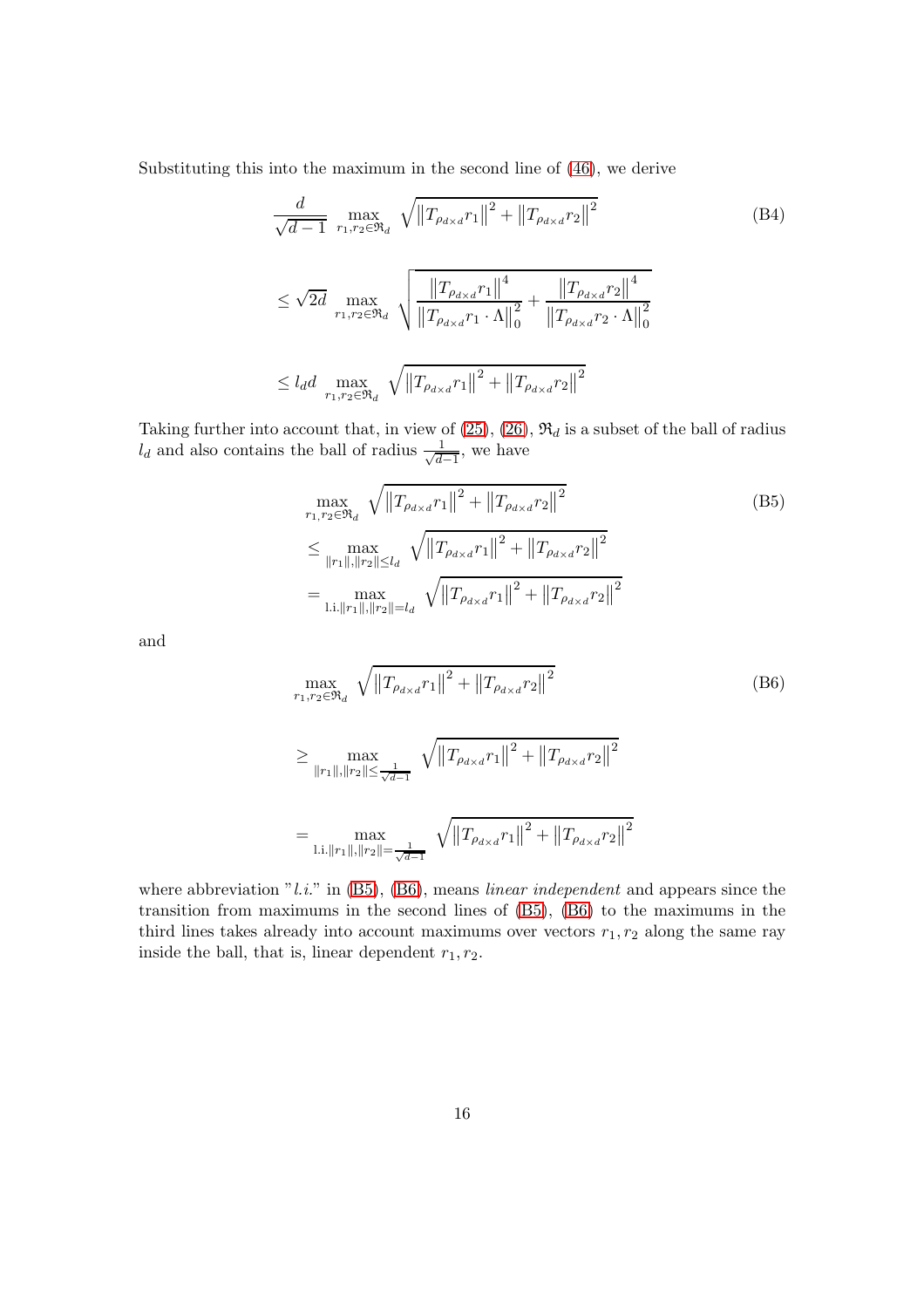Substituting this into the maximum in the second line of [\(46\)](#page-9-1), we derive

<span id="page-15-2"></span>
$$
\frac{d}{\sqrt{d-1}} \max_{r_1, r_2 \in \mathfrak{R}_d} \sqrt{\left\| T_{\rho_{d \times d}} r_1 \right\|^2 + \left\| T_{\rho_{d \times d}} r_2 \right\|^2}
$$
\n
$$
\leq \sqrt{2d} \max_{r_1, r_2 \in \mathfrak{R}_d} \sqrt{\frac{\left\| T_{\rho_{d \times d}} r_1 \right\|^4}{\left\| T_{\rho_{d \times d}} r_1 \cdot \Lambda \right\|_0^2} + \frac{\left\| T_{\rho_{d \times d}} r_2 \right\|^4}{\left\| T_{\rho_{d \times d}} r_2 \cdot \Lambda \right\|_0^2}}
$$
\n
$$
\leq l_d d \max_{r_1, r_2 \in \mathfrak{R}_d} \sqrt{\left\| T_{\rho_{d \times d}} r_1 \right\|^2 + \left\| T_{\rho_{d \times d}} r_2 \right\|^2}
$$
\n
$$
(B4)
$$

Taking further into account that, in view of  $(25)$ ,  $(26)$ ,  $\mathfrak{R}_d$  is a subset of the ball of radius  $l_d$  and also contains the ball of radius  $\frac{1}{\sqrt{d}}$  $\frac{1}{d-1}$ , we have

<span id="page-15-0"></span>
$$
\max_{r_1, r_2 \in \mathfrak{R}_d} \sqrt{\left\|T_{\rho_{d \times d}} r_1\right\|^2 + \left\|T_{\rho_{d \times d}} r_2\right\|^2}
$$
\n
$$
\leq \max_{\|r_1\|, \|r_2\| \leq l_d} \sqrt{\left\|T_{\rho_{d \times d}} r_1\right\|^2 + \left\|T_{\rho_{d \times d}} r_2\right\|^2}
$$
\n
$$
= \max_{\text{l.i.}\|r_1\|, \|r_2\| = l_d} \sqrt{\left\|T_{\rho_{d \times d}} r_1\right\|^2 + \left\|T_{\rho_{d \times d}} r_2\right\|^2}
$$
\n(B5)

and

<span id="page-15-1"></span>
$$
\max_{r_1, r_2 \in \mathfrak{R}_d} \sqrt{\left\|T_{\rho_{d \times d}} r_1\right\|^2 + \left\|T_{\rho_{d \times d}} r_2\right\|^2}
$$
\n
$$
\geq \max_{\|r_1\|, \|r_2\| \leq \frac{1}{\sqrt{d-1}}} \sqrt{\left\|T_{\rho_{d \times d}} r_1\right\|^2 + \left\|T_{\rho_{d \times d}} r_2\right\|^2}
$$
\n
$$
= \max_{\text{l.i.} \|r_1\|, \|r_2\| = \frac{1}{\sqrt{d-1}}} \sqrt{\left\|T_{\rho_{d \times d}} r_1\right\|^2 + \left\|T_{\rho_{d \times d}} r_2\right\|^2}
$$
\n(B6)

where abbreviation "l.i." in  $(B5)$ ,  $(B6)$ , means linear independent and appears since the transition from maximums in the second lines of [\(B5\)](#page-15-0), [\(B6\)](#page-15-1) to the maximums in the third lines takes already into account maximums over vectors  $r_1, r_2$  along the same ray inside the ball, that is, linear dependent  $r_1, r_2$ .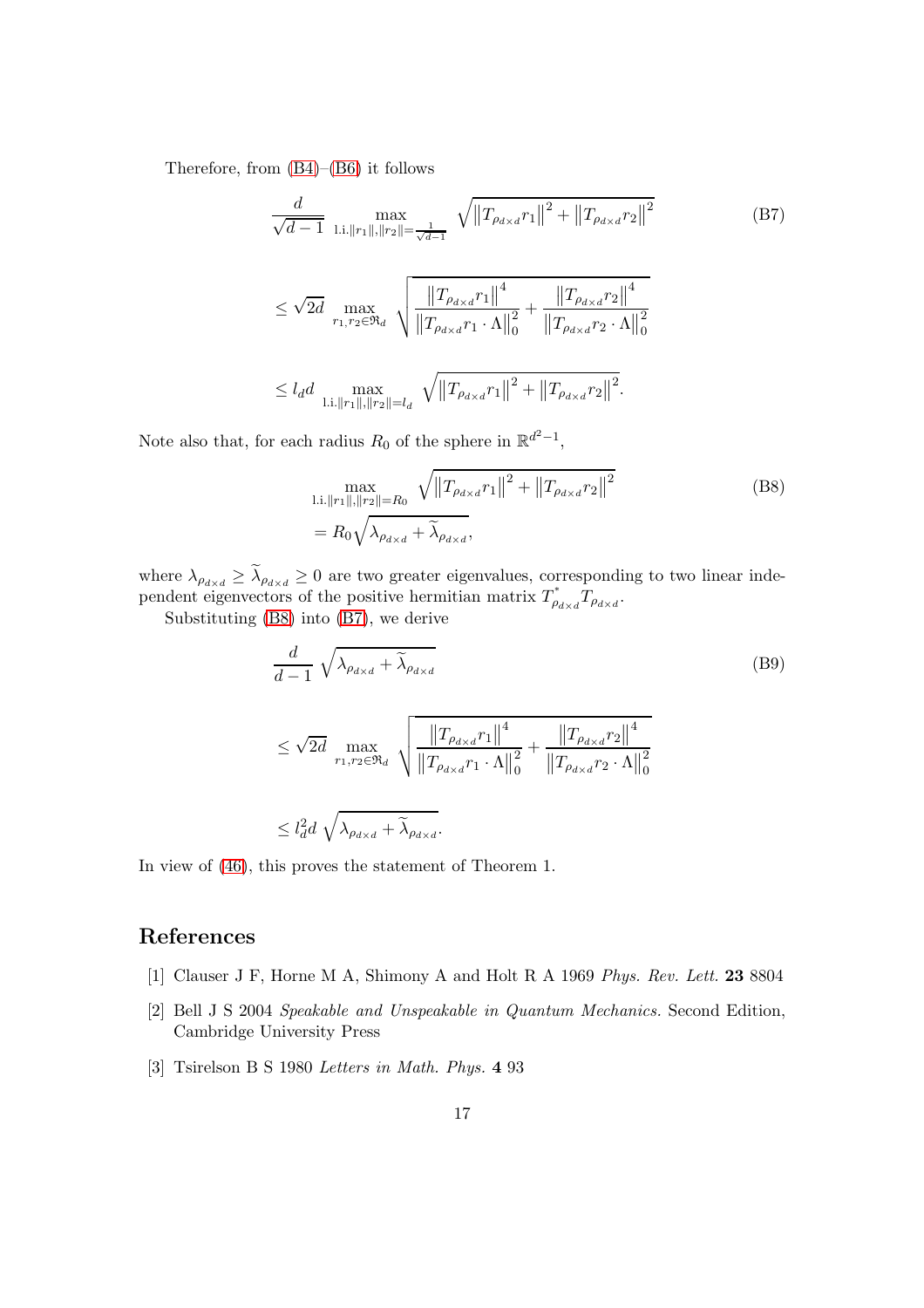Therefore, from [\(B4\)](#page-15-2)–[\(B6\)](#page-15-1) it follows

<span id="page-16-4"></span>
$$
\frac{d}{\sqrt{d-1}} \max_{\text{l.i.} ||r_1||, ||r_2|| = \frac{1}{\sqrt{d-1}}} \sqrt{||T_{\rho_{d \times d}} r_1||^2 + ||T_{\rho_{d \times d}} r_2||^2}
$$
\n
$$
\leq \sqrt{2d} \max_{r_1, r_2 \in \mathfrak{R}_d} \sqrt{||T_{\rho_{d \times d}} r_1||^4 + ||T_{\rho_{d \times d}} r_2||^4}
$$
\n
$$
\leq l_d d \max_{\text{l.i.} ||r_1||, ||r_2|| = l_d} \sqrt{||T_{\rho_{d \times d}} r_1||^2 + ||T_{\rho_{d \times d}} r_2||^2}.
$$
\n(B7)

Note also that, for each radius  $R_0$  of the sphere in  $\mathbb{R}^{d^2-1}$ ,

<span id="page-16-3"></span>
$$
\max_{\substack{\text{l.i.}\|r_1\|, \|r_2\|=R_0}} \sqrt{\left\|T_{\rho_{d\times d}}r_1\right\|^2 + \left\|T_{\rho_{d\times d}}r_2\right\|^2}
$$
\n(B8)

where  $\lambda_{\rho_{d\times d}} \geq \lambda_{\rho_{d\times d}} \geq 0$  are two greater eigenvalues, corresponding to two linear independent eigenvectors of the positive hermitian matrix  $T^*_{\rho_{d\times d}}T_{\rho_{d\times d}}$ .

Substituting [\(B8\)](#page-16-3) into [\(B7\)](#page-16-4), we derive

$$
\frac{d}{d-1} \sqrt{\lambda_{\rho_{d\times d}} + \widetilde{\lambda}_{\rho_{d\times d}}} \qquad (B9)
$$
\n
$$
\leq \sqrt{2d} \max_{r_1, r_2 \in \mathfrak{R}_d} \sqrt{\frac{\left\|T_{\rho_{d\times d}} r_1\right\|^4}{\left\|T_{\rho_{d\times d}} r_1 \cdot \Lambda\right\|_0^2} + \frac{\left\|T_{\rho_{d\times d}} r_2\right\|^4}{\left\|T_{\rho_{d\times d}} r_2 \cdot \Lambda\right\|_0^2}}
$$
\n
$$
\leq l_d^2 d \sqrt{\lambda_{\rho_{d\times d}} + \widetilde{\lambda}_{\rho_{d\times d}}}.
$$

In view of [\(46\)](#page-9-1), this proves the statement of Theorem 1.

### <span id="page-16-0"></span>References

- <span id="page-16-1"></span>[1] Clauser J F, Horne M A, Shimony A and Holt R A 1969 Phys. Rev. Lett. 23 8804
- [2] Bell J S 2004 Speakable and Unspeakable in Quantum Mechanics. Second Edition, Cambridge University Press
- <span id="page-16-2"></span>[3] Tsirelson B S 1980 Letters in Math. Phys. 4 93